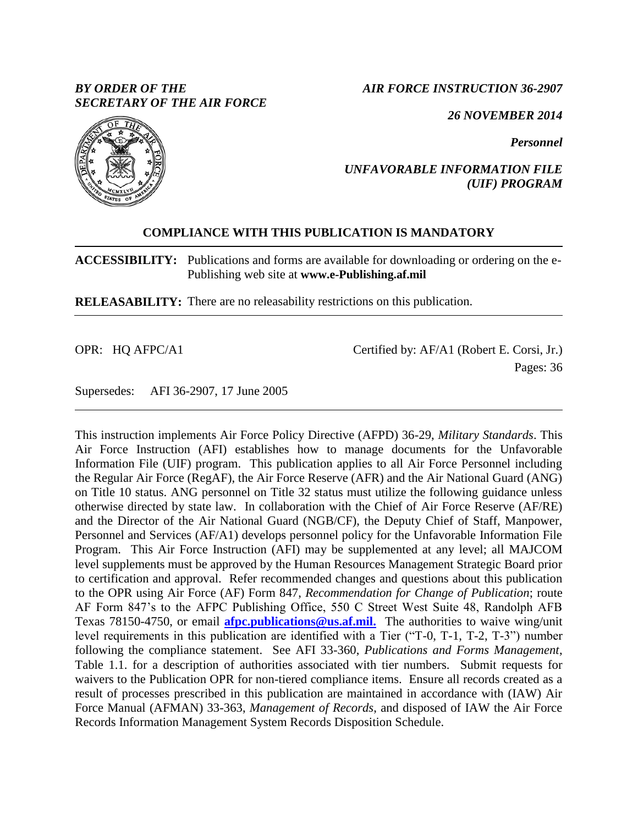## *BY ORDER OF THE SECRETARY OF THE AIR FORCE*

*AIR FORCE INSTRUCTION 36-2907*

*26 NOVEMBER 2014*

*Personnel*



## *UNFAVORABLE INFORMATION FILE (UIF) PROGRAM*

# **COMPLIANCE WITH THIS PUBLICATION IS MANDATORY**

**ACCESSIBILITY:** Publications and forms are available for downloading or ordering on the e-Publishing web site at **www.e-Publishing.af.mil**

**RELEASABILITY:** There are no releasability restrictions on this publication.

OPR: HQ AFPC/A1

Certified by: AF/A1 (Robert E. Corsi, Jr.) Pages: 36

Supersedes: AFI 36-2907, 17 June 2005

This instruction implements Air Force Policy Directive (AFPD) 36-29, *Military Standards*. This Air Force Instruction (AFI) establishes how to manage documents for the Unfavorable Information File (UIF) program. This publication applies to all Air Force Personnel including the Regular Air Force (RegAF), the Air Force Reserve (AFR) and the Air National Guard (ANG) on Title 10 status. ANG personnel on Title 32 status must utilize the following guidance unless otherwise directed by state law. In collaboration with the Chief of Air Force Reserve (AF/RE) and the Director of the Air National Guard (NGB/CF), the Deputy Chief of Staff, Manpower, Personnel and Services (AF/A1) develops personnel policy for the Unfavorable Information File Program. This Air Force Instruction (AFI) may be supplemented at any level; all MAJCOM level supplements must be approved by the Human Resources Management Strategic Board prior to certification and approval. Refer recommended changes and questions about this publication to the OPR using Air Force (AF) Form 847, *Recommendation for Change of Publication*; route AF Form 847's to the AFPC Publishing Office, 550 C Street West Suite 48, Randolph AFB Texas 78150-4750, or email **[afpc.publications@us.af.mil.](mailto:afpc.publications@us.af.mil.)** The authorities to waive wing/unit level requirements in this publication are identified with a Tier ("T-0, T-1, T-2, T-3") number following the compliance statement. See AFI 33-360, *Publications and Forms Management*, Table 1.1. for a description of authorities associated with tier numbers. Submit requests for waivers to the Publication OPR for non-tiered compliance items. Ensure all records created as a result of processes prescribed in this publication are maintained in accordance with (IAW) Air Force Manual (AFMAN) 33-363, *Management of Records*, and disposed of IAW the Air Force Records Information Management System Records Disposition Schedule.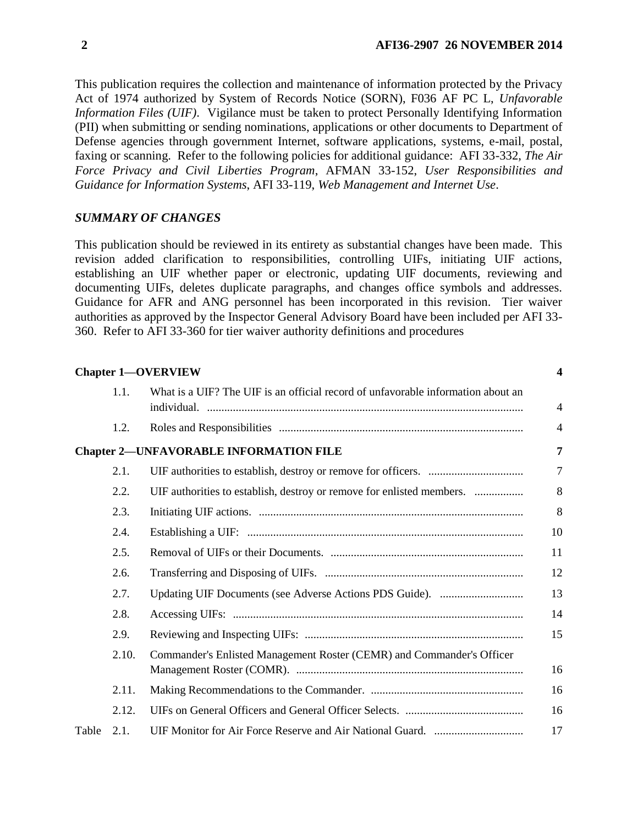This publication requires the collection and maintenance of information protected by the Privacy Act of 1974 authorized by System of Records Notice (SORN), F036 AF PC L, *Unfavorable Information Files (UIF)*. Vigilance must be taken to protect Personally Identifying Information (PII) when submitting or sending nominations, applications or other documents to Department of Defense agencies through government Internet, software applications, systems, e-mail, postal, faxing or scanning. Refer to the following policies for additional guidance: AFI 33-332, *The Air Force Privacy and Civil Liberties Program*, AFMAN 33-152, *User Responsibilities and Guidance for Information Systems*, AFI 33-119, *Web Management and Internet Use*.

### *SUMMARY OF CHANGES*

This publication should be reviewed in its entirety as substantial changes have been made. This revision added clarification to responsibilities, controlling UIFs, initiating UIF actions, establishing an UIF whether paper or electronic, updating UIF documents, reviewing and documenting UIFs, deletes duplicate paragraphs, and changes office symbols and addresses. Guidance for AFR and ANG personnel has been incorporated in this revision. Tier waiver authorities as approved by the Inspector General Advisory Board have been included per AFI 33- 360. Refer to AFI 33-360 for tier waiver authority definitions and procedures

|       |       | <b>Chapter 1-OVERVIEW</b>                                                        | $\boldsymbol{4}$ |
|-------|-------|----------------------------------------------------------------------------------|------------------|
|       | 1.1.  | What is a UIF? The UIF is an official record of unfavorable information about an | $\overline{4}$   |
|       | 1.2.  |                                                                                  | $\overline{4}$   |
|       |       | <b>Chapter 2-UNFAVORABLE INFORMATION FILE</b>                                    | 7                |
|       | 2.1.  |                                                                                  | 7                |
|       | 2.2.  |                                                                                  | 8                |
|       | 2.3.  |                                                                                  | 8                |
|       | 2.4.  |                                                                                  | 10               |
|       | 2.5.  |                                                                                  | 11               |
|       | 2.6.  |                                                                                  | 12               |
|       | 2.7.  |                                                                                  | 13               |
|       | 2.8.  |                                                                                  | 14               |
|       | 2.9.  |                                                                                  | 15               |
|       | 2.10. | Commander's Enlisted Management Roster (CEMR) and Commander's Officer            | 16               |
|       | 2.11. |                                                                                  | 16               |
|       | 2.12. |                                                                                  | 16               |
| Table | 2.1.  |                                                                                  | 17               |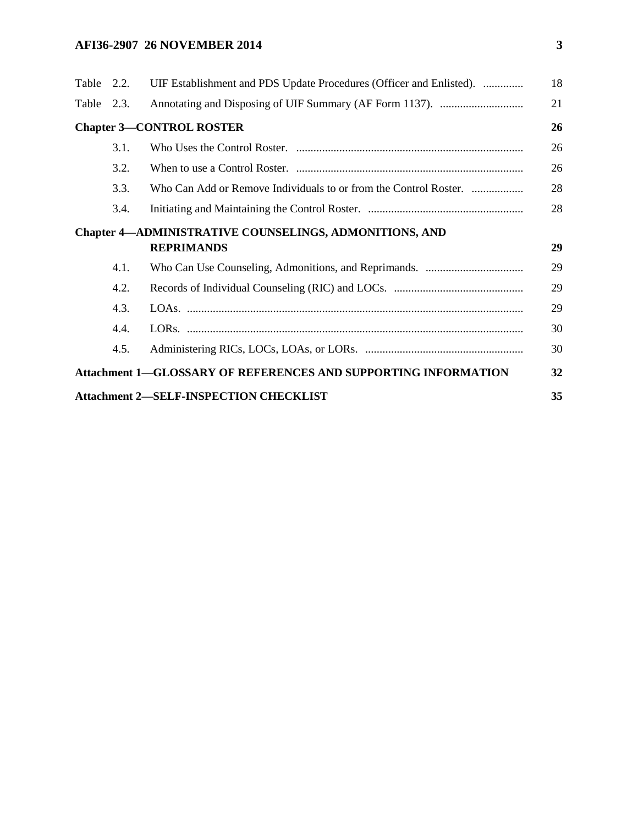# **AFI36-2907 26 NOVEMBER 2014 3**

| Table 2.3.<br><b>Chapter 3-CONTROL ROSTER</b><br>3.1.<br>3.2.<br>3.3.<br>3.4.<br><b>Chapter 4-ADMINISTRATIVE COUNSELINGS, ADMONITIONS, AND</b><br><b>REPRIMANDS</b><br>4.1.<br>4.2.<br>4.3.<br>4.4.<br>4.5.<br><b>Attachment 1-GLOSSARY OF REFERENCES AND SUPPORTING INFORMATION</b><br><b>Attachment 2-SELF-INSPECTION CHECKLIST</b> | Table 2.2. | UIF Establishment and PDS Update Procedures (Officer and Enlisted). | 18 |
|---------------------------------------------------------------------------------------------------------------------------------------------------------------------------------------------------------------------------------------------------------------------------------------------------------------------------------------|------------|---------------------------------------------------------------------|----|
|                                                                                                                                                                                                                                                                                                                                       |            |                                                                     | 21 |
|                                                                                                                                                                                                                                                                                                                                       |            |                                                                     | 26 |
|                                                                                                                                                                                                                                                                                                                                       |            |                                                                     | 26 |
|                                                                                                                                                                                                                                                                                                                                       |            |                                                                     | 26 |
|                                                                                                                                                                                                                                                                                                                                       |            |                                                                     | 28 |
|                                                                                                                                                                                                                                                                                                                                       |            |                                                                     | 28 |
|                                                                                                                                                                                                                                                                                                                                       |            |                                                                     |    |
|                                                                                                                                                                                                                                                                                                                                       |            |                                                                     | 29 |
|                                                                                                                                                                                                                                                                                                                                       |            |                                                                     | 29 |
|                                                                                                                                                                                                                                                                                                                                       |            |                                                                     | 29 |
|                                                                                                                                                                                                                                                                                                                                       |            |                                                                     | 29 |
|                                                                                                                                                                                                                                                                                                                                       |            |                                                                     | 30 |
|                                                                                                                                                                                                                                                                                                                                       |            |                                                                     | 30 |
|                                                                                                                                                                                                                                                                                                                                       |            |                                                                     | 32 |
|                                                                                                                                                                                                                                                                                                                                       |            |                                                                     | 35 |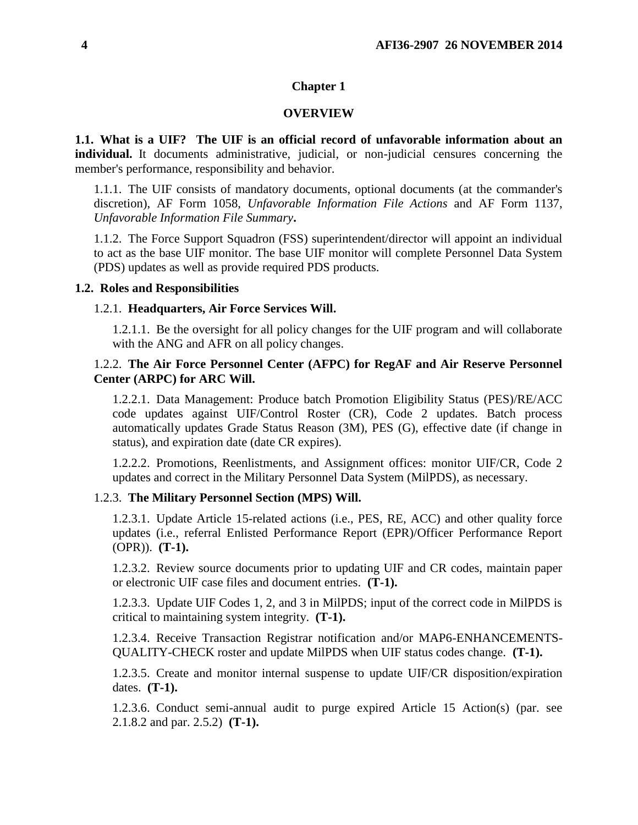### **Chapter 1**

#### **OVERVIEW**

<span id="page-3-1"></span><span id="page-3-0"></span>**1.1. What is a UIF? The UIF is an official record of unfavorable information about an individual.** It documents administrative, judicial, or non-judicial censures concerning the member's performance, responsibility and behavior.

1.1.1. The UIF consists of mandatory documents, optional documents (at the commander's discretion), AF Form 1058, *Unfavorable Information File Actions* and AF Form 1137, *Unfavorable Information File Summary***.**

1.1.2. The Force Support Squadron (FSS) superintendent/director will appoint an individual to act as the base UIF monitor. The base UIF monitor will complete Personnel Data System (PDS) updates as well as provide required PDS products.

#### <span id="page-3-2"></span>**1.2. Roles and Responsibilities**

#### 1.2.1. **Headquarters, Air Force Services Will.**

1.2.1.1. Be the oversight for all policy changes for the UIF program and will collaborate with the ANG and AFR on all policy changes.

### 1.2.2. **The Air Force Personnel Center (AFPC) for RegAF and Air Reserve Personnel Center (ARPC) for ARC Will.**

1.2.2.1. Data Management: Produce batch Promotion Eligibility Status (PES)/RE/ACC code updates against UIF/Control Roster (CR), Code 2 updates. Batch process automatically updates Grade Status Reason (3M), PES (G), effective date (if change in status), and expiration date (date CR expires).

1.2.2.2. Promotions, Reenlistments, and Assignment offices: monitor UIF/CR, Code 2 updates and correct in the Military Personnel Data System (MilPDS), as necessary.

### 1.2.3. **The Military Personnel Section (MPS) Will.**

1.2.3.1. Update Article 15-related actions (i.e., PES, RE, ACC) and other quality force updates (i.e., referral Enlisted Performance Report (EPR)/Officer Performance Report (OPR)). **(T-1).**

1.2.3.2. Review source documents prior to updating UIF and CR codes, maintain paper or electronic UIF case files and document entries. **(T-1).**

1.2.3.3. Update UIF Codes 1, 2, and 3 in MilPDS; input of the correct code in MilPDS is critical to maintaining system integrity. **(T-1).**

1.2.3.4. Receive Transaction Registrar notification and/or MAP6-ENHANCEMENTS-QUALITY-CHECK roster and update MilPDS when UIF status codes change. **(T-1).**

1.2.3.5. Create and monitor internal suspense to update UIF/CR disposition/expiration dates. **(T-1).**

1.2.3.6. Conduct semi-annual audit to purge expired Article 15 Action(s) (par. see 2.1.8.2 and par. 2.5.2) **(T-1).**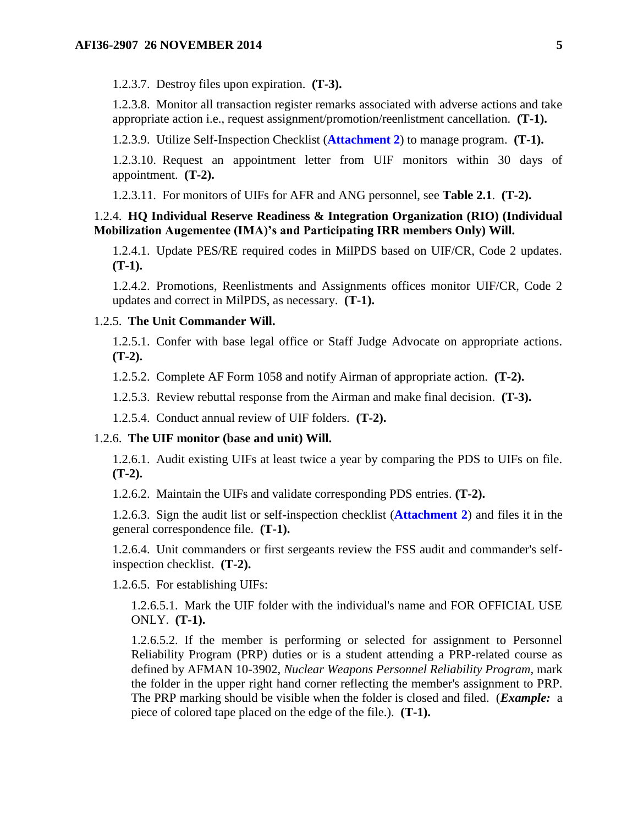1.2.3.7. Destroy files upon expiration. **(T-3).**

1.2.3.8. Monitor all transaction register remarks associated with adverse actions and take appropriate action i.e., request assignment/promotion/reenlistment cancellation. **(T-1).**

1.2.3.9. Utilize Self-Inspection Checklist (**[Attachment 2](#page-34-0)**) to manage program. **(T-1).**

1.2.3.10. Request an appointment letter from UIF monitors within 30 days of appointment. **(T-2).**

1.2.3.11. For monitors of UIFs for AFR and ANG personnel, see **Table 2.1**. **(T-2).**

### 1.2.4. **HQ Individual Reserve Readiness & Integration Organization (RIO) (Individual Mobilization Augementee (IMA)'s and Participating IRR members Only) Will.**

1.2.4.1. Update PES/RE required codes in MilPDS based on UIF/CR, Code 2 updates. **(T-1).**

1.2.4.2. Promotions, Reenlistments and Assignments offices monitor UIF/CR, Code 2 updates and correct in MilPDS, as necessary. **(T-1).**

### 1.2.5. **The Unit Commander Will.**

1.2.5.1. Confer with base legal office or Staff Judge Advocate on appropriate actions. **(T-2).**

1.2.5.2. Complete AF Form 1058 and notify Airman of appropriate action. **(T-2).**

1.2.5.3. Review rebuttal response from the Airman and make final decision. **(T-3).**

1.2.5.4. Conduct annual review of UIF folders. **(T-2).**

#### 1.2.6. **The UIF monitor (base and unit) Will.**

1.2.6.1. Audit existing UIFs at least twice a year by comparing the PDS to UIFs on file. **(T-2).**

1.2.6.2. Maintain the UIFs and validate corresponding PDS entries. **(T-2).**

1.2.6.3. Sign the audit list or self-inspection checklist (**[Attachment 2](#page-34-0)**) and files it in the general correspondence file. **(T-1).**

1.2.6.4. Unit commanders or first sergeants review the FSS audit and commander's selfinspection checklist. **(T-2).**

1.2.6.5. For establishing UIFs:

1.2.6.5.1. Mark the UIF folder with the individual's name and FOR OFFICIAL USE ONLY. **(T-1).**

1.2.6.5.2. If the member is performing or selected for assignment to Personnel Reliability Program (PRP) duties or is a student attending a PRP-related course as defined by AFMAN 10-3902, *Nuclear Weapons Personnel Reliability Program,* mark the folder in the upper right hand corner reflecting the member's assignment to PRP. The PRP marking should be visible when the folder is closed and filed. (*Example:* a piece of colored tape placed on the edge of the file.). **(T-1).**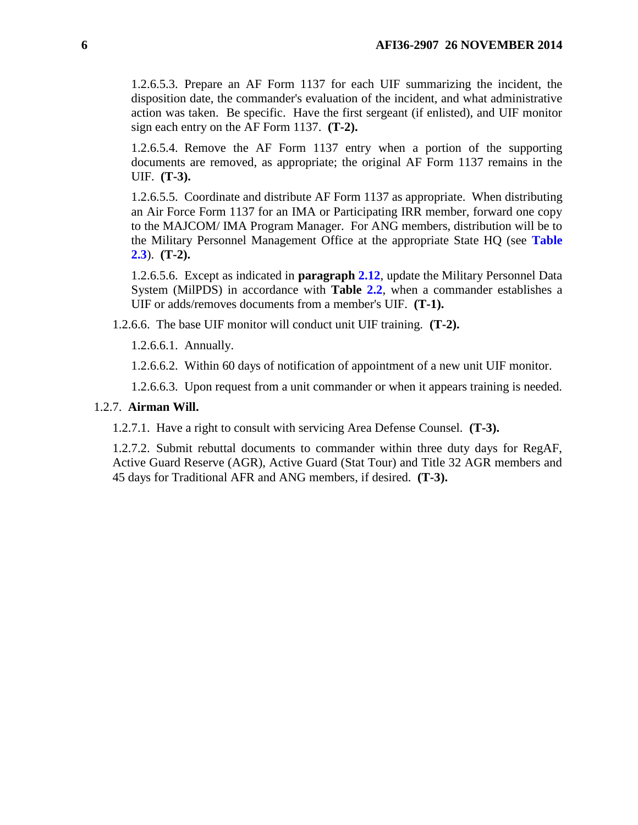1.2.6.5.3. Prepare an AF Form 1137 for each UIF summarizing the incident, the disposition date, the commander's evaluation of the incident, and what administrative action was taken. Be specific. Have the first sergeant (if enlisted), and UIF monitor sign each entry on the AF Form 1137. **(T-2).**

1.2.6.5.4. Remove the AF Form 1137 entry when a portion of the supporting documents are removed, as appropriate; the original AF Form 1137 remains in the UIF. **(T-3).**

1.2.6.5.5. Coordinate and distribute AF Form 1137 as appropriate. When distributing an Air Force Form 1137 for an IMA or Participating IRR member, forward one copy to the MAJCOM/ IMA Program Manager. For ANG members, distribution will be to the Military Personnel Management Office at the appropriate State HQ (see **[Table](#page-19-0)  [2.3](#page-19-0)**). **(T-2).**

1.2.6.5.6. Except as indicated in **paragraph [2.12](#page-15-2)**, update the Military Personnel Data System (MilPDS) in accordance with **Table [2.2](#page-6-2)**, when a commander establishes a UIF or adds/removes documents from a member's UIF. **(T-1).**

1.2.6.6. The base UIF monitor will conduct unit UIF training. **(T-2).**

1.2.6.6.1. Annually.

1.2.6.6.2. Within 60 days of notification of appointment of a new unit UIF monitor.

1.2.6.6.3. Upon request from a unit commander or when it appears training is needed.

### 1.2.7. **Airman Will.**

1.2.7.1. Have a right to consult with servicing Area Defense Counsel. **(T-3).**

1.2.7.2. Submit rebuttal documents to commander within three duty days for RegAF, Active Guard Reserve (AGR), Active Guard (Stat Tour) and Title 32 AGR members and 45 days for Traditional AFR and ANG members, if desired. **(T-3).**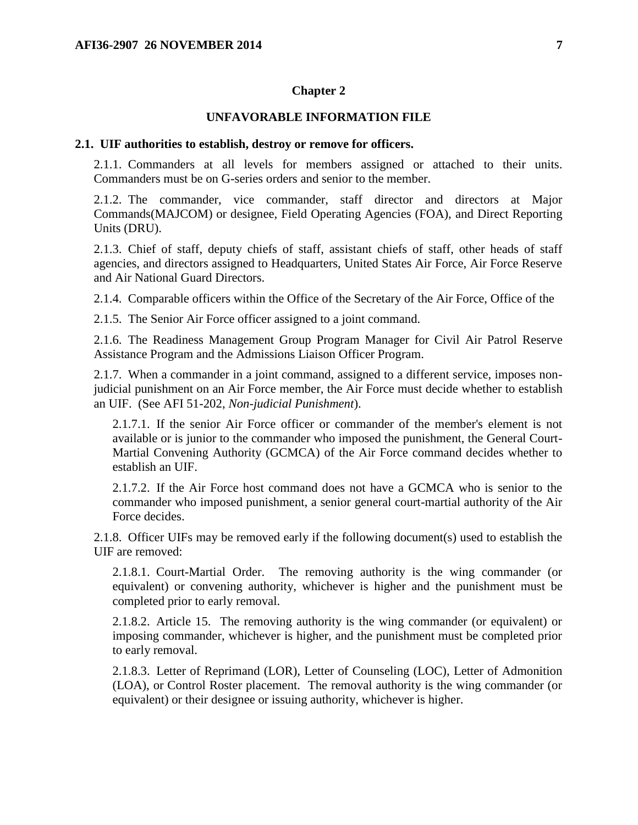#### **Chapter 2**

### **UNFAVORABLE INFORMATION FILE**

#### <span id="page-6-1"></span><span id="page-6-0"></span>**2.1. UIF authorities to establish, destroy or remove for officers.**

2.1.1. Commanders at all levels for members assigned or attached to their units. Commanders must be on G-series orders and senior to the member.

2.1.2. The commander, vice commander, staff director and directors at Major Commands(MAJCOM) or designee, Field Operating Agencies (FOA), and Direct Reporting Units (DRU).

2.1.3. Chief of staff, deputy chiefs of staff, assistant chiefs of staff, other heads of staff agencies, and directors assigned to Headquarters, United States Air Force, Air Force Reserve and Air National Guard Directors.

2.1.4. Comparable officers within the Office of the Secretary of the Air Force, Office of the

2.1.5. The Senior Air Force officer assigned to a joint command.

2.1.6. The Readiness Management Group Program Manager for Civil Air Patrol Reserve Assistance Program and the Admissions Liaison Officer Program.

2.1.7. When a commander in a joint command, assigned to a different service, imposes nonjudicial punishment on an Air Force member, the Air Force must decide whether to establish an UIF. (See AFI 51-202, *Non-judicial Punishment*).

2.1.7.1. If the senior Air Force officer or commander of the member's element is not available or is junior to the commander who imposed the punishment, the General Court-Martial Convening Authority (GCMCA) of the Air Force command decides whether to establish an UIF.

2.1.7.2. If the Air Force host command does not have a GCMCA who is senior to the commander who imposed punishment, a senior general court-martial authority of the Air Force decides.

2.1.8. Officer UIFs may be removed early if the following document(s) used to establish the UIF are removed:

2.1.8.1. Court-Martial Order. The removing authority is the wing commander (or equivalent) or convening authority, whichever is higher and the punishment must be completed prior to early removal.

2.1.8.2. Article 15. The removing authority is the wing commander (or equivalent) or imposing commander, whichever is higher, and the punishment must be completed prior to early removal.

<span id="page-6-2"></span>2.1.8.3. Letter of Reprimand (LOR), Letter of Counseling (LOC), Letter of Admonition (LOA), or Control Roster placement. The removal authority is the wing commander (or equivalent) or their designee or issuing authority, whichever is higher.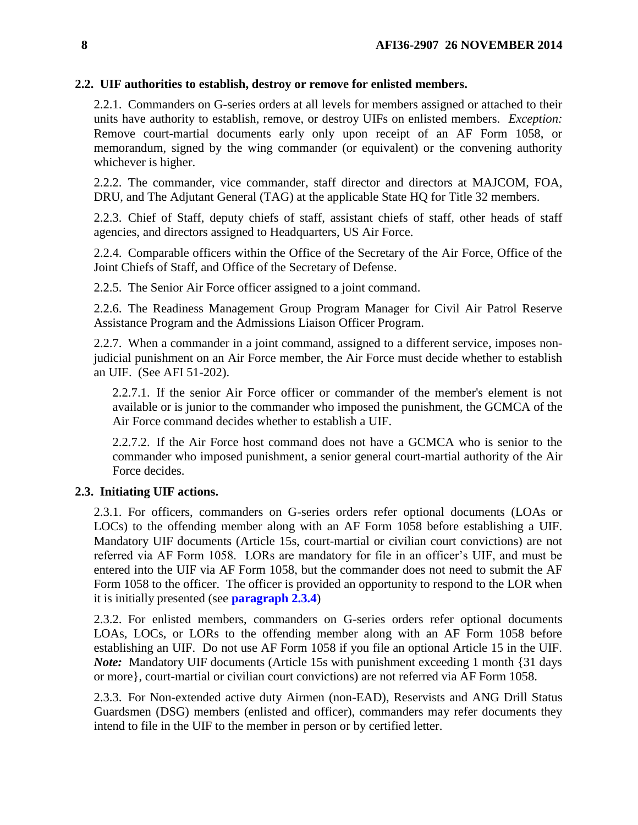## **2.2. UIF authorities to establish, destroy or remove for enlisted members.**

2.2.1. Commanders on G-series orders at all levels for members assigned or attached to their units have authority to establish, remove, or destroy UIFs on enlisted members. *Exception:* Remove court-martial documents early only upon receipt of an AF Form 1058, or memorandum, signed by the wing commander (or equivalent) or the convening authority whichever is higher.

2.2.2. The commander, vice commander, staff director and directors at MAJCOM, FOA, DRU, and The Adjutant General (TAG) at the applicable State HQ for Title 32 members.

2.2.3. Chief of Staff, deputy chiefs of staff, assistant chiefs of staff, other heads of staff agencies, and directors assigned to Headquarters, US Air Force.

2.2.4. Comparable officers within the Office of the Secretary of the Air Force, Office of the Joint Chiefs of Staff, and Office of the Secretary of Defense.

2.2.5. The Senior Air Force officer assigned to a joint command.

2.2.6. The Readiness Management Group Program Manager for Civil Air Patrol Reserve Assistance Program and the Admissions Liaison Officer Program.

2.2.7. When a commander in a joint command, assigned to a different service, imposes nonjudicial punishment on an Air Force member, the Air Force must decide whether to establish an UIF. (See AFI 51-202).

2.2.7.1. If the senior Air Force officer or commander of the member's element is not available or is junior to the commander who imposed the punishment, the GCMCA of the Air Force command decides whether to establish a UIF.

2.2.7.2. If the Air Force host command does not have a GCMCA who is senior to the commander who imposed punishment, a senior general court-martial authority of the Air Force decides.

## <span id="page-7-0"></span>**2.3. Initiating UIF actions.**

2.3.1. For officers, commanders on G-series orders refer optional documents (LOAs or LOCs) to the offending member along with an AF Form 1058 before establishing a UIF. Mandatory UIF documents (Article 15s, court-martial or civilian court convictions) are not referred via AF Form 1058. LORs are mandatory for file in an officer's UIF, and must be entered into the UIF via AF Form 1058, but the commander does not need to submit the AF Form 1058 to the officer. The officer is provided an opportunity to respond to the LOR when it is initially presented (see **[paragraph 2.3.4](#page-8-0)**)

2.3.2. For enlisted members, commanders on G-series orders refer optional documents LOAs, LOCs, or LORs to the offending member along with an AF Form 1058 before establishing an UIF. Do not use AF Form 1058 if you file an optional Article 15 in the UIF. *Note:* Mandatory UIF documents (Article 15s with punishment exceeding 1 month {31 days or more}, court-martial or civilian court convictions) are not referred via AF Form 1058.

2.3.3. For Non-extended active duty Airmen (non-EAD), Reservists and ANG Drill Status Guardsmen (DSG) members (enlisted and officer), commanders may refer documents they intend to file in the UIF to the member in person or by certified letter.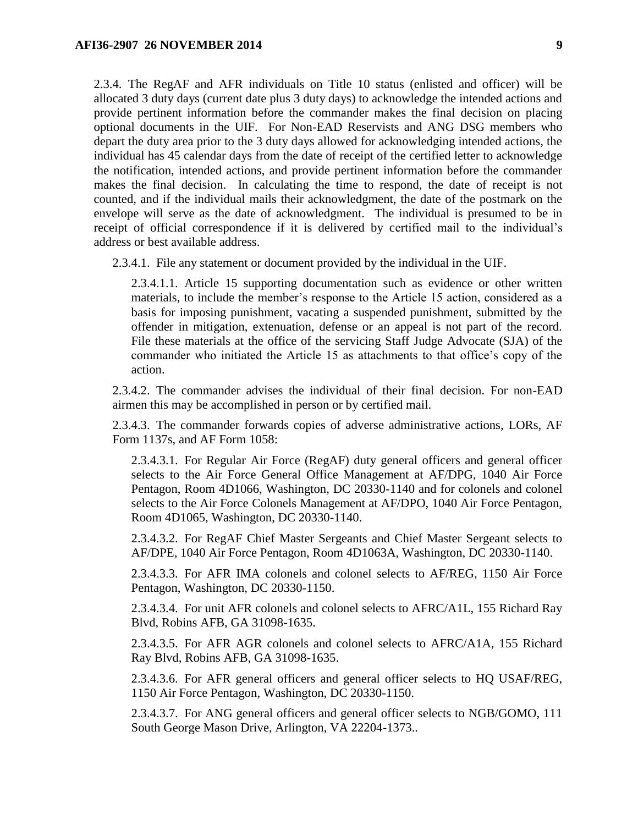<span id="page-8-0"></span>2.3.4. The RegAF and AFR individuals on Title 10 status (enlisted and officer) will be allocated 3 duty days (current date plus 3 duty days) to acknowledge the intended actions and provide pertinent information before the commander makes the final decision on placing optional documents in the UIF. For Non-EAD Reservists and ANG DSG members who depart the duty area prior to the 3 duty days allowed for acknowledging intended actions, the individual has 45 calendar days from the date of receipt of the certified letter to acknowledge the notification, intended actions, and provide pertinent information before the commander makes the final decision. In calculating the time to respond, the date of receipt is not counted, and if the individual mails their acknowledgment, the date of the postmark on the envelope will serve as the date of acknowledgment. The individual is presumed to be in receipt of official correspondence if it is delivered by certified mail to the individual's address or best available address.

2.3.4.1. File any statement or document provided by the individual in the UIF.

2.3.4.1.1. Article 15 supporting documentation such as evidence or other written materials, to include the member's response to the Article 15 action, considered as a basis for imposing punishment, vacating a suspended punishment, submitted by the offender in mitigation, extenuation, defense or an appeal is not part of the record. File these materials at the office of the servicing Staff Judge Advocate (SJA) of the commander who initiated the Article 15 as attachments to that office's copy of the action.

2.3.4.2. The commander advises the individual of their final decision. For non-EAD airmen this may be accomplished in person or by certified mail.

2.3.4.3. The commander forwards copies of adverse administrative actions, LORs, AF Form 1137s, and AF Form 1058:

2.3.4.3.1. For Regular Air Force (RegAF) duty general officers and general officer selects to the Air Force General Office Management at AF/DPG, 1040 Air Force Pentagon, Room 4D1066, Washington, DC 20330-1140 and for colonels and colonel selects to the Air Force Colonels Management at AF/DPO, 1040 Air Force Pentagon, Room 4D1065, Washington, DC 20330-1140.

2.3.4.3.2. For RegAF Chief Master Sergeants and Chief Master Sergeant selects to AF/DPE, 1040 Air Force Pentagon, Room 4D1063A, Washington, DC 20330-1140.

2.3.4.3.3. For AFR IMA colonels and colonel selects to AF/REG, 1150 Air Force Pentagon, Washington, DC 20330-1150.

2.3.4.3.4. For unit AFR colonels and colonel selects to AFRC/A1L, 155 Richard Ray Blvd, Robins AFB, GA 31098-1635.

2.3.4.3.5. For AFR AGR colonels and colonel selects to AFRC/A1A, 155 Richard Ray Blvd, Robins AFB, GA 31098-1635.

2.3.4.3.6. For AFR general officers and general officer selects to HQ USAF/REG, 1150 Air Force Pentagon, Washington, DC 20330-1150.

2.3.4.3.7. For ANG general officers and general officer selects to NGB/GOMO, 111 South George Mason Drive, Arlington, VA 22204-1373..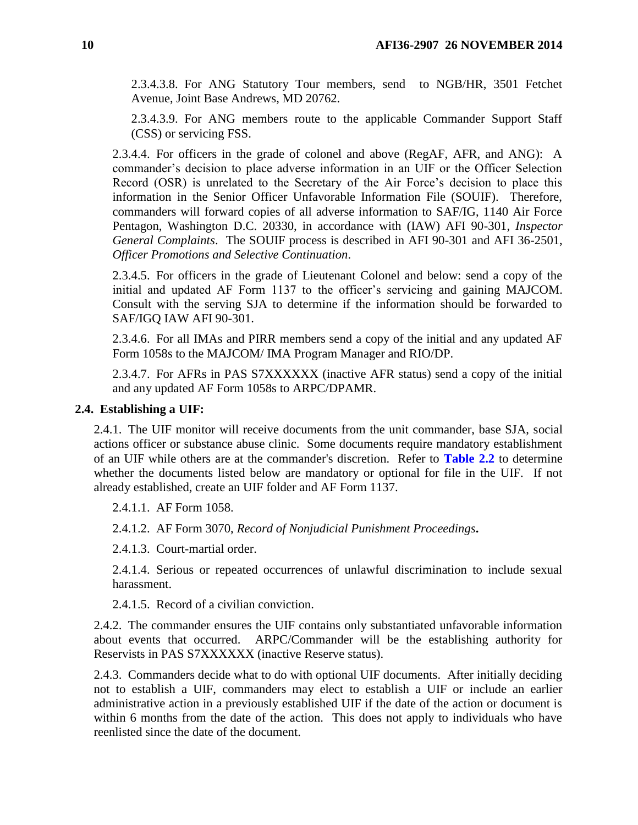2.3.4.3.8. For ANG Statutory Tour members, send to NGB/HR, 3501 Fetchet Avenue, Joint Base Andrews, MD 20762.

2.3.4.3.9. For ANG members route to the applicable Commander Support Staff (CSS) or servicing FSS.

2.3.4.4. For officers in the grade of colonel and above (RegAF, AFR, and ANG): A commander's decision to place adverse information in an UIF or the Officer Selection Record (OSR) is unrelated to the Secretary of the Air Force's decision to place this information in the Senior Officer Unfavorable Information File (SOUIF). Therefore, commanders will forward copies of all adverse information to SAF/IG, 1140 Air Force Pentagon, Washington D.C. 20330, in accordance with (IAW) AFI 90-301, *Inspector General Complaints*. The SOUIF process is described in AFI 90-301 and AFI 36-2501, *Officer Promotions and Selective Continuation*.

2.3.4.5. For officers in the grade of Lieutenant Colonel and below: send a copy of the initial and updated AF Form 1137 to the officer's servicing and gaining MAJCOM. Consult with the serving SJA to determine if the information should be forwarded to SAF/IGQ IAW AFI 90-301.

2.3.4.6. For all IMAs and PIRR members send a copy of the initial and any updated AF Form 1058s to the MAJCOM/ IMA Program Manager and RIO/DP.

2.3.4.7. For AFRs in PAS S7XXXXXX (inactive AFR status) send a copy of the initial and any updated AF Form 1058s to ARPC/DPAMR.

#### <span id="page-9-0"></span>**2.4. Establishing a UIF:**

2.4.1. The UIF monitor will receive documents from the unit commander, base SJA, social actions officer or substance abuse clinic. Some documents require mandatory establishment of an UIF while others are at the commander's discretion. Refer to **[Table 2.2](#page-16-0)** to determine whether the documents listed below are mandatory or optional for file in the UIF. If not already established, create an UIF folder and AF Form 1137.

2.4.1.1. AF Form 1058.

2.4.1.2. AF Form 3070, *Record of Nonjudicial Punishment Proceedings***.**

2.4.1.3. Court-martial order.

2.4.1.4. Serious or repeated occurrences of unlawful discrimination to include sexual harassment.

2.4.1.5. Record of a civilian conviction.

2.4.2. The commander ensures the UIF contains only substantiated unfavorable information about events that occurred. ARPC/Commander will be the establishing authority for Reservists in PAS S7XXXXXX (inactive Reserve status).

2.4.3. Commanders decide what to do with optional UIF documents. After initially deciding not to establish a UIF, commanders may elect to establish a UIF or include an earlier administrative action in a previously established UIF if the date of the action or document is within 6 months from the date of the action. This does not apply to individuals who have reenlisted since the date of the document.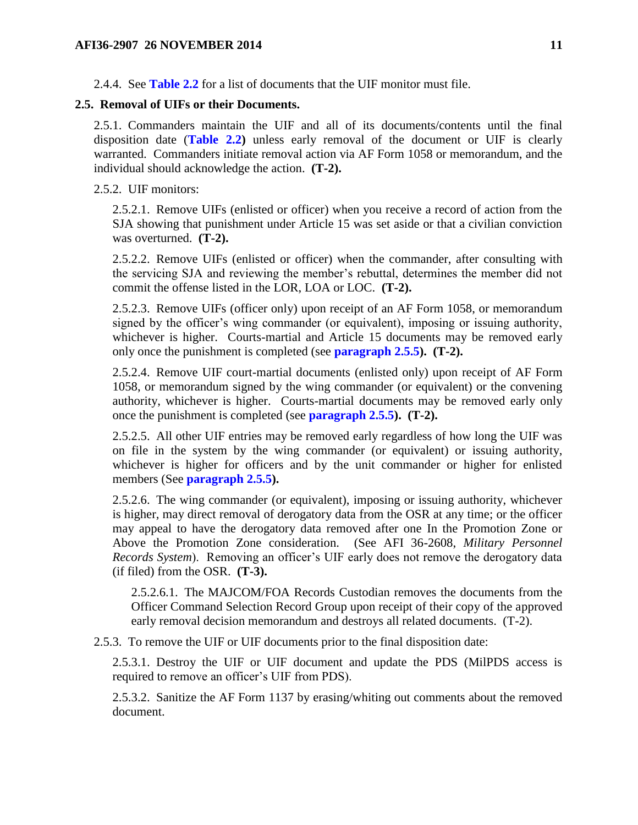2.4.4. See **[Table 2.2](#page-16-0)** for a list of documents that the UIF monitor must file.

#### <span id="page-10-0"></span>**2.5. Removal of UIFs or their Documents.**

2.5.1. Commanders maintain the UIF and all of its documents/contents until the final disposition date (**[Table 2.2\)](#page-16-0)** unless early removal of the document or UIF is clearly warranted. Commanders initiate removal action via AF Form 1058 or memorandum, and the individual should acknowledge the action. **(T-2).**

2.5.2. UIF monitors:

2.5.2.1. Remove UIFs (enlisted or officer) when you receive a record of action from the SJA showing that punishment under Article 15 was set aside or that a civilian conviction was overturned. **(T-2).**

2.5.2.2. Remove UIFs (enlisted or officer) when the commander, after consulting with the servicing SJA and reviewing the member's rebuttal, determines the member did not commit the offense listed in the LOR, LOA or LOC. **(T-2).**

2.5.2.3. Remove UIFs (officer only) upon receipt of an AF Form 1058, or memorandum signed by the officer's wing commander (or equivalent), imposing or issuing authority, whichever is higher. Courts-martial and Article 15 documents may be removed early only once the punishment is completed (see **[paragraph 2.5.5\)](#page-11-1). (T-2).**

2.5.2.4. Remove UIF court-martial documents (enlisted only) upon receipt of AF Form 1058, or memorandum signed by the wing commander (or equivalent) or the convening authority, whichever is higher. Courts-martial documents may be removed early only once the punishment is completed (see **[paragraph 2.5.5\)](#page-11-1). (T-2).**

2.5.2.5. All other UIF entries may be removed early regardless of how long the UIF was on file in the system by the wing commander (or equivalent) or issuing authority, whichever is higher for officers and by the unit commander or higher for enlisted members (See **[paragraph 2.5.5\)](#page-11-1).**

2.5.2.6. The wing commander (or equivalent), imposing or issuing authority, whichever is higher, may direct removal of derogatory data from the OSR at any time; or the officer may appeal to have the derogatory data removed after one In the Promotion Zone or Above the Promotion Zone consideration. (See AFI 36-2608, *Military Personnel Records System*). Removing an officer's UIF early does not remove the derogatory data (if filed) from the OSR. **(T-3).**

2.5.2.6.1. The MAJCOM/FOA Records Custodian removes the documents from the Officer Command Selection Record Group upon receipt of their copy of the approved early removal decision memorandum and destroys all related documents. (T-2).

2.5.3. To remove the UIF or UIF documents prior to the final disposition date:

2.5.3.1. Destroy the UIF or UIF document and update the PDS (MilPDS access is required to remove an officer's UIF from PDS).

2.5.3.2. Sanitize the AF Form 1137 by erasing/whiting out comments about the removed document.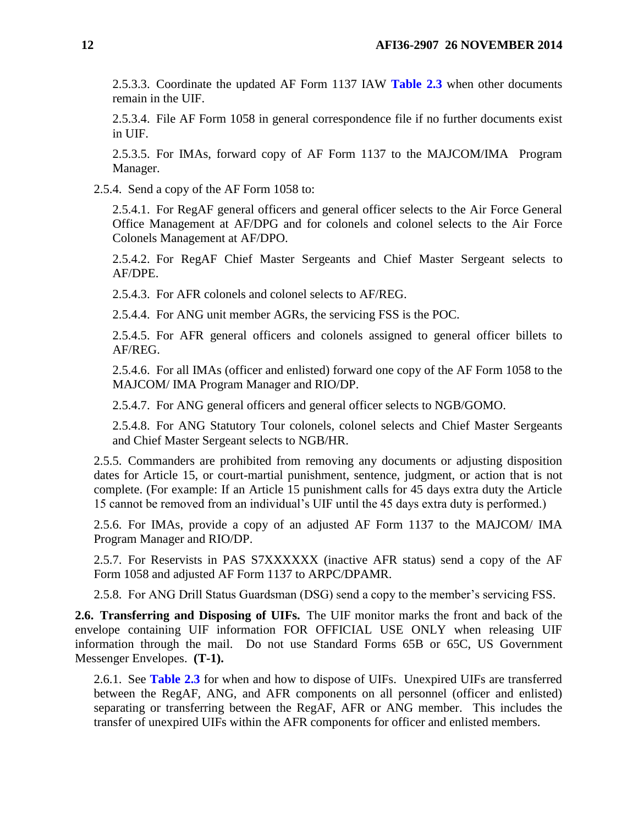2.5.3.3. Coordinate the updated AF Form 1137 IAW **[Table 2.3](#page-19-0)** when other documents remain in the UIF.

2.5.3.4. File AF Form 1058 in general correspondence file if no further documents exist in UIF.

2.5.3.5. For IMAs, forward copy of AF Form 1137 to the MAJCOM/IMA Program Manager.

<span id="page-11-2"></span>2.5.4. Send a copy of the AF Form 1058 to:

2.5.4.1. For RegAF general officers and general officer selects to the Air Force General Office Management at AF/DPG and for colonels and colonel selects to the Air Force Colonels Management at AF/DPO.

2.5.4.2. For RegAF Chief Master Sergeants and Chief Master Sergeant selects to AF/DPE.

2.5.4.3. For AFR colonels and colonel selects to AF/REG.

2.5.4.4. For ANG unit member AGRs, the servicing FSS is the POC.

2.5.4.5. For AFR general officers and colonels assigned to general officer billets to AF/REG.

2.5.4.6. For all IMAs (officer and enlisted) forward one copy of the AF Form 1058 to the MAJCOM/ IMA Program Manager and RIO/DP.

2.5.4.7. For ANG general officers and general officer selects to NGB/GOMO.

2.5.4.8. For ANG Statutory Tour colonels, colonel selects and Chief Master Sergeants and Chief Master Sergeant selects to NGB/HR.

<span id="page-11-1"></span>2.5.5. Commanders are prohibited from removing any documents or adjusting disposition dates for Article 15, or court-martial punishment, sentence, judgment, or action that is not complete. (For example: If an Article 15 punishment calls for 45 days extra duty the Article 15 cannot be removed from an individual's UIF until the 45 days extra duty is performed.)

2.5.6. For IMAs, provide a copy of an adjusted AF Form 1137 to the MAJCOM/ IMA Program Manager and RIO/DP.

2.5.7. For Reservists in PAS S7XXXXXX (inactive AFR status) send a copy of the AF Form 1058 and adjusted AF Form 1137 to ARPC/DPAMR.

2.5.8. For ANG Drill Status Guardsman (DSG) send a copy to the member's servicing FSS.

<span id="page-11-0"></span>**2.6. Transferring and Disposing of UIFs.** The UIF monitor marks the front and back of the envelope containing UIF information FOR OFFICIAL USE ONLY when releasing UIF information through the mail. Do not use Standard Forms 65B or 65C, US Government Messenger Envelopes. **(T-1).**

2.6.1. See **[Table 2.3](#page-19-0)** for when and how to dispose of UIFs. Unexpired UIFs are transferred between the RegAF, ANG, and AFR components on all personnel (officer and enlisted) separating or transferring between the RegAF, AFR or ANG member. This includes the transfer of unexpired UIFs within the AFR components for officer and enlisted members.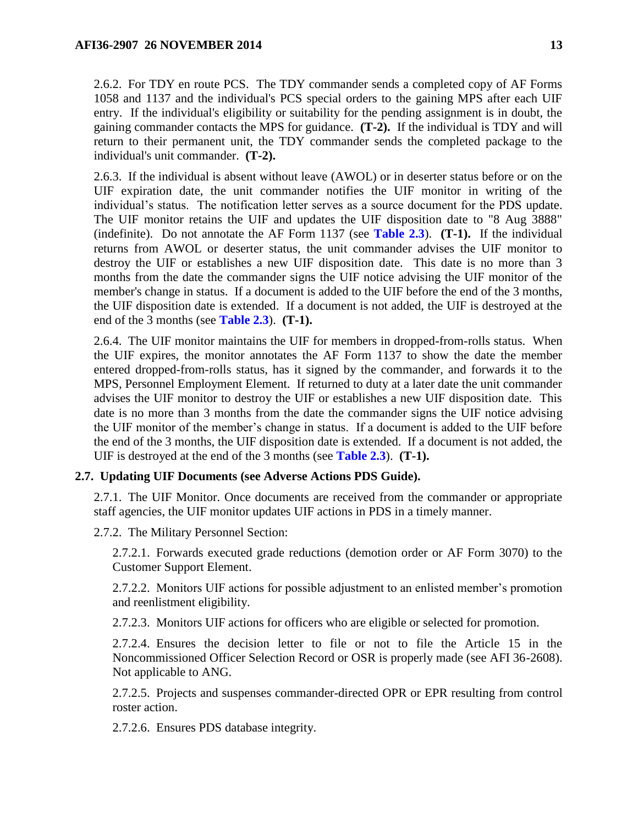2.6.2. For TDY en route PCS. The TDY commander sends a completed copy of AF Forms 1058 and 1137 and the individual's PCS special orders to the gaining MPS after each UIF entry. If the individual's eligibility or suitability for the pending assignment is in doubt, the gaining commander contacts the MPS for guidance. **(T-2).** If the individual is TDY and will return to their permanent unit, the TDY commander sends the completed package to the individual's unit commander. **(T-2).**

2.6.3. If the individual is absent without leave (AWOL) or in deserter status before or on the UIF expiration date, the unit commander notifies the UIF monitor in writing of the individual's status. The notification letter serves as a source document for the PDS update. The UIF monitor retains the UIF and updates the UIF disposition date to "8 Aug 3888" (indefinite). Do not annotate the AF Form 1137 (see **[Table 2.3](#page-19-0)**). **(T-1).** If the individual returns from AWOL or deserter status, the unit commander advises the UIF monitor to destroy the UIF or establishes a new UIF disposition date. This date is no more than 3 months from the date the commander signs the UIF notice advising the UIF monitor of the member's change in status. If a document is added to the UIF before the end of the 3 months, the UIF disposition date is extended. If a document is not added, the UIF is destroyed at the end of the 3 months (see **[Table 2.3](#page-19-0)**). **(T-1).**

2.6.4. The UIF monitor maintains the UIF for members in dropped-from-rolls status. When the UIF expires, the monitor annotates the AF Form 1137 to show the date the member entered dropped-from-rolls status, has it signed by the commander, and forwards it to the MPS, Personnel Employment Element. If returned to duty at a later date the unit commander advises the UIF monitor to destroy the UIF or establishes a new UIF disposition date. This date is no more than 3 months from the date the commander signs the UIF notice advising the UIF monitor of the member's change in status. If a document is added to the UIF before the end of the 3 months, the UIF disposition date is extended. If a document is not added, the UIF is destroyed at the end of the 3 months (see **[Table 2.3](#page-19-0)**). **(T-1).**

### <span id="page-12-0"></span>**2.7. Updating UIF Documents (see Adverse Actions PDS Guide).**

2.7.1. The UIF Monitor. Once documents are received from the commander or appropriate staff agencies, the UIF monitor updates UIF actions in PDS in a timely manner.

2.7.2. The Military Personnel Section:

2.7.2.1. Forwards executed grade reductions (demotion order or AF Form 3070) to the Customer Support Element.

2.7.2.2. Monitors UIF actions for possible adjustment to an enlisted member's promotion and reenlistment eligibility.

2.7.2.3. Monitors UIF actions for officers who are eligible or selected for promotion.

2.7.2.4. Ensures the decision letter to file or not to file the Article 15 in the Noncommissioned Officer Selection Record or OSR is properly made (see AFI 36-2608). Not applicable to ANG.

2.7.2.5. Projects and suspenses commander-directed OPR or EPR resulting from control roster action.

2.7.2.6. Ensures PDS database integrity.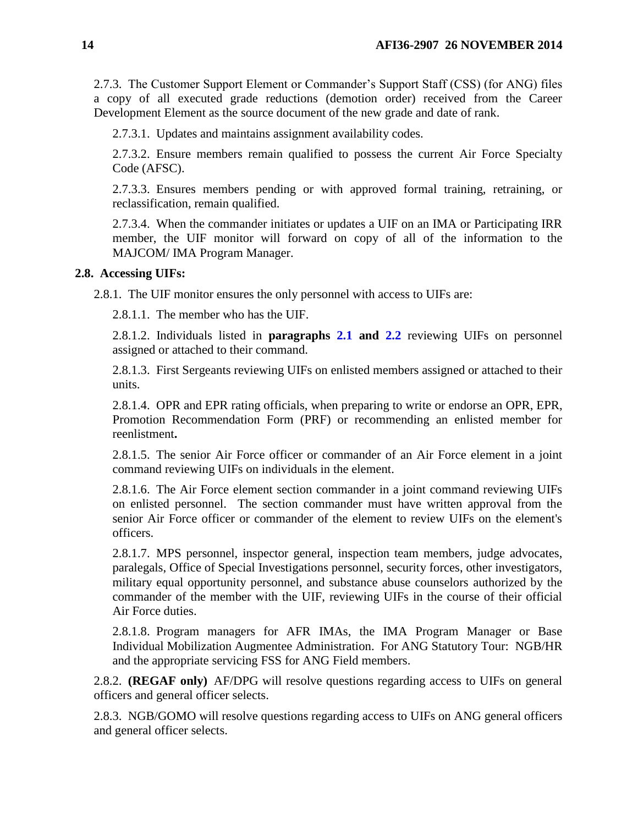2.7.3. The Customer Support Element or Commander's Support Staff (CSS) (for ANG) files a copy of all executed grade reductions (demotion order) received from the Career Development Element as the source document of the new grade and date of rank.

2.7.3.1. Updates and maintains assignment availability codes.

2.7.3.2. Ensure members remain qualified to possess the current Air Force Specialty Code (AFSC).

2.7.3.3. Ensures members pending or with approved formal training, retraining, or reclassification, remain qualified.

2.7.3.4. When the commander initiates or updates a UIF on an IMA or Participating IRR member, the UIF monitor will forward on copy of all of the information to the MAJCOM/ IMA Program Manager.

## <span id="page-13-0"></span>**2.8. Accessing UIFs:**

2.8.1. The UIF monitor ensures the only personnel with access to UIFs are:

2.8.1.1. The member who has the UIF.

2.8.1.2. Individuals listed in **paragraphs [2.1](#page-6-1) and [2.2](#page-6-2)** reviewing UIFs on personnel assigned or attached to their command.

2.8.1.3. First Sergeants reviewing UIFs on enlisted members assigned or attached to their units.

2.8.1.4. OPR and EPR rating officials, when preparing to write or endorse an OPR, EPR, Promotion Recommendation Form (PRF) or recommending an enlisted member for reenlistment**.**

2.8.1.5. The senior Air Force officer or commander of an Air Force element in a joint command reviewing UIFs on individuals in the element.

2.8.1.6. The Air Force element section commander in a joint command reviewing UIFs on enlisted personnel. The section commander must have written approval from the senior Air Force officer or commander of the element to review UIFs on the element's officers.

2.8.1.7. MPS personnel, inspector general, inspection team members, judge advocates, paralegals, Office of Special Investigations personnel, security forces, other investigators, military equal opportunity personnel, and substance abuse counselors authorized by the commander of the member with the UIF, reviewing UIFs in the course of their official Air Force duties.

2.8.1.8. Program managers for AFR IMAs, the IMA Program Manager or Base Individual Mobilization Augmentee Administration. For ANG Statutory Tour: NGB/HR and the appropriate servicing FSS for ANG Field members.

2.8.2. **(REGAF only)** AF/DPG will resolve questions regarding access to UIFs on general officers and general officer selects.

2.8.3. NGB/GOMO will resolve questions regarding access to UIFs on ANG general officers and general officer selects.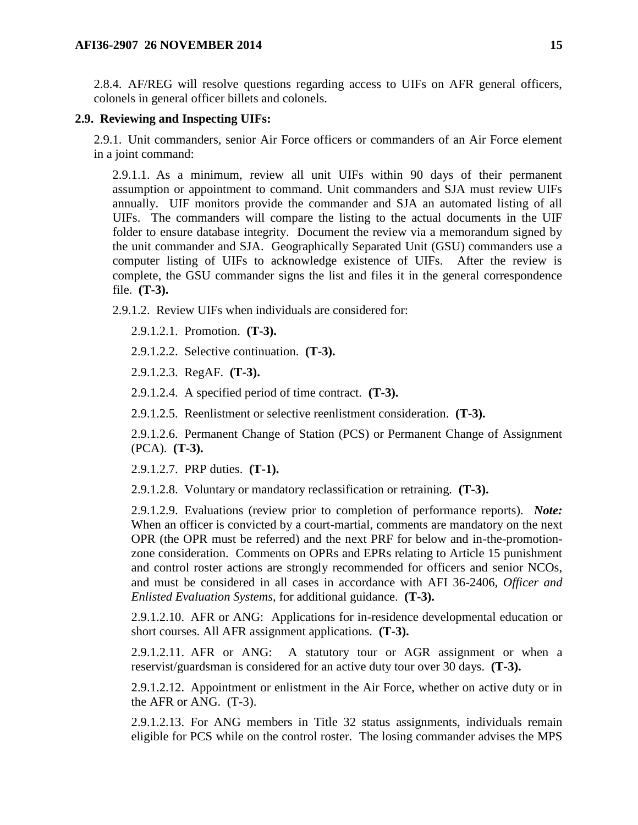2.8.4. AF/REG will resolve questions regarding access to UIFs on AFR general officers, colonels in general officer billets and colonels.

#### <span id="page-14-0"></span>**2.9. Reviewing and Inspecting UIFs:**

2.9.1. Unit commanders, senior Air Force officers or commanders of an Air Force element in a joint command:

2.9.1.1. As a minimum, review all unit UIFs within 90 days of their permanent assumption or appointment to command. Unit commanders and SJA must review UIFs annually. UIF monitors provide the commander and SJA an automated listing of all UIFs. The commanders will compare the listing to the actual documents in the UIF folder to ensure database integrity. Document the review via a memorandum signed by the unit commander and SJA. Geographically Separated Unit (GSU) commanders use a computer listing of UIFs to acknowledge existence of UIFs. After the review is complete, the GSU commander signs the list and files it in the general correspondence file. **(T-3).**

2.9.1.2. Review UIFs when individuals are considered for:

2.9.1.2.1. Promotion. **(T-3).**

2.9.1.2.2. Selective continuation. **(T-3).**

2.9.1.2.3. RegAF. **(T-3).**

2.9.1.2.4. A specified period of time contract. **(T-3).**

2.9.1.2.5. Reenlistment or selective reenlistment consideration. **(T-3).**

2.9.1.2.6. Permanent Change of Station (PCS) or Permanent Change of Assignment (PCA). **(T-3).**

2.9.1.2.7. PRP duties. **(T-1).**

2.9.1.2.8. Voluntary or mandatory reclassification or retraining. **(T-3).**

2.9.1.2.9. Evaluations (review prior to completion of performance reports). *Note:* When an officer is convicted by a court-martial, comments are mandatory on the next OPR (the OPR must be referred) and the next PRF for below and in-the-promotionzone consideration. Comments on OPRs and EPRs relating to Article 15 punishment and control roster actions are strongly recommended for officers and senior NCOs, and must be considered in all cases in accordance with AFI 36-2406*, Officer and Enlisted Evaluation Systems*, for additional guidance. **(T-3).**

2.9.1.2.10. AFR or ANG: Applications for in-residence developmental education or short courses. All AFR assignment applications. **(T-3).**

2.9.1.2.11. AFR or ANG: A statutory tour or AGR assignment or when a reservist/guardsman is considered for an active duty tour over 30 days. **(T-3).**

2.9.1.2.12. Appointment or enlistment in the Air Force, whether on active duty or in the AFR or ANG. (T-3).

2.9.1.2.13. For ANG members in Title 32 status assignments, individuals remain eligible for PCS while on the control roster. The losing commander advises the MPS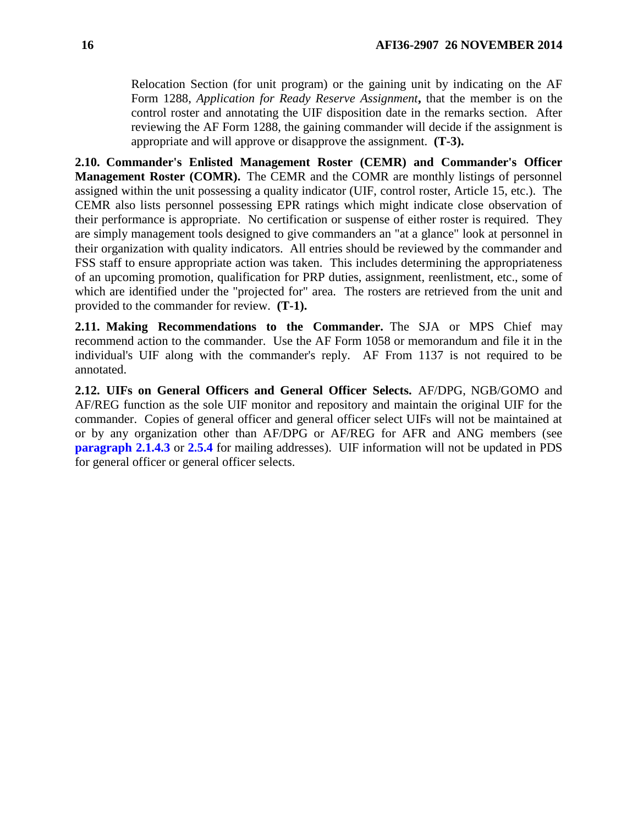Relocation Section (for unit program) or the gaining unit by indicating on the AF Form 1288, *Application for Ready Reserve Assignment***,** that the member is on the control roster and annotating the UIF disposition date in the remarks section. After reviewing the AF Form 1288, the gaining commander will decide if the assignment is appropriate and will approve or disapprove the assignment. **(T-3).**

<span id="page-15-0"></span>**2.10. Commander's Enlisted Management Roster (CEMR) and Commander's Officer Management Roster (COMR).** The CEMR and the COMR are monthly listings of personnel assigned within the unit possessing a quality indicator (UIF, control roster, Article 15, etc.). The CEMR also lists personnel possessing EPR ratings which might indicate close observation of their performance is appropriate. No certification or suspense of either roster is required. They are simply management tools designed to give commanders an "at a glance" look at personnel in their organization with quality indicators. All entries should be reviewed by the commander and FSS staff to ensure appropriate action was taken. This includes determining the appropriateness of an upcoming promotion, qualification for PRP duties, assignment, reenlistment, etc., some of which are identified under the "projected for" area. The rosters are retrieved from the unit and provided to the commander for review. **(T-1).**

<span id="page-15-1"></span>**2.11. Making Recommendations to the Commander.** The SJA or MPS Chief may recommend action to the commander. Use the AF Form 1058 or memorandum and file it in the individual's UIF along with the commander's reply. AF From 1137 is not required to be annotated.

<span id="page-15-3"></span><span id="page-15-2"></span>**2.12. UIFs on General Officers and General Officer Selects.** AF/DPG, NGB/GOMO and AF/REG function as the sole UIF monitor and repository and maintain the original UIF for the commander. Copies of general officer and general officer select UIFs will not be maintained at or by any organization other than AF/DPG or AF/REG for AFR and ANG members (see **paragraph 2.1.4.3** or [2.5.4](#page-11-2) for mailing addresses). UIF information will not be updated in PDS for general officer or general officer selects.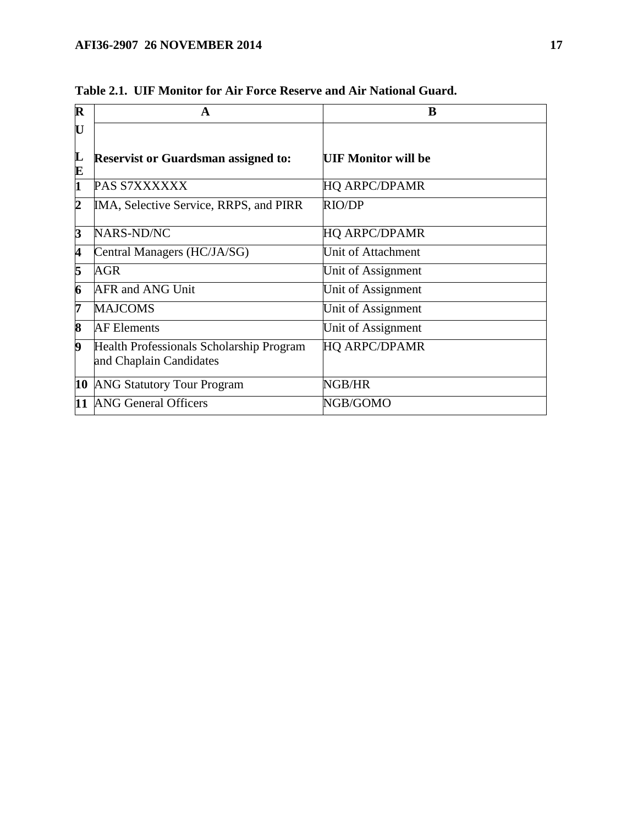<span id="page-16-0"></span>

| $\mathbf R$ | A                                                                   | B                          |
|-------------|---------------------------------------------------------------------|----------------------------|
| U           |                                                                     |                            |
| L<br>E      | <b>Reservist or Guardsman assigned to:</b>                          | <b>UIF Monitor will be</b> |
| 1           | PAS S7XXXXXX                                                        | <b>HQ ARPC/DPAMR</b>       |
| 2           | IMA, Selective Service, RRPS, and PIRR                              | <b>RIO/DP</b>              |
| 3           | NARS-ND/NC                                                          | <b>HQ ARPC/DPAMR</b>       |
| 4           | Central Managers (HC/JA/SG)                                         | Unit of Attachment         |
| 5           | AGR                                                                 | Unit of Assignment         |
| 6           | <b>AFR and ANG Unit</b>                                             | Unit of Assignment         |
| 7           | <b>MAJCOMS</b>                                                      | Unit of Assignment         |
| 8           | <b>AF</b> Elements                                                  | Unit of Assignment         |
| 9           | Health Professionals Scholarship Program<br>and Chaplain Candidates | <b>HQ ARPC/DPAMR</b>       |
| 10          | <b>ANG Statutory Tour Program</b>                                   | NGB/HR                     |
| 11          | <b>ANG General Officers</b>                                         | NGB/GOMO                   |

**Table 2.1. UIF Monitor for Air Force Reserve and Air National Guard.**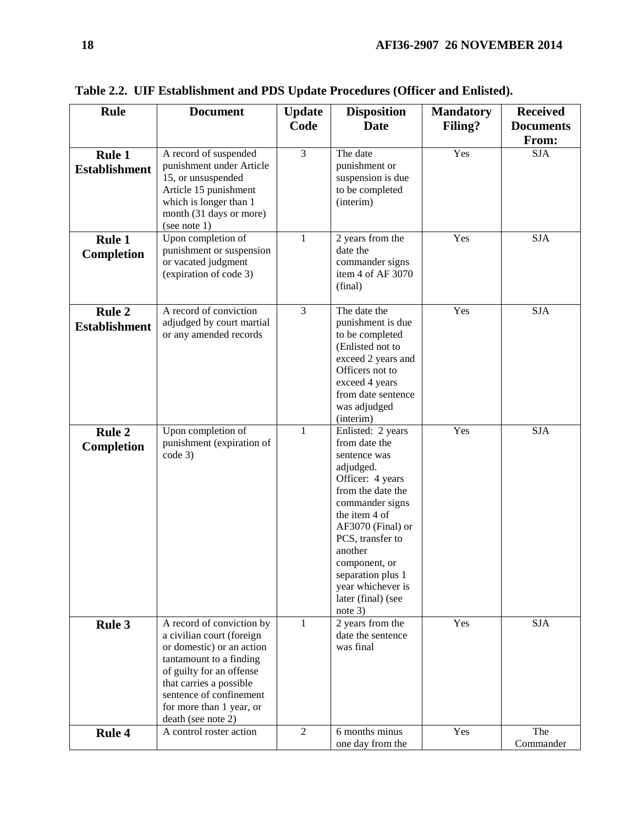| Rule                                  | <b>Document</b>                                                                                                                                                                                                                                    | <b>Update</b><br>Code | <b>Disposition</b><br><b>Date</b>                                                                                                                                                                                                                                                            | <b>Mandatory</b><br>Filing? | <b>Received</b><br><b>Documents</b> |
|---------------------------------------|----------------------------------------------------------------------------------------------------------------------------------------------------------------------------------------------------------------------------------------------------|-----------------------|----------------------------------------------------------------------------------------------------------------------------------------------------------------------------------------------------------------------------------------------------------------------------------------------|-----------------------------|-------------------------------------|
|                                       |                                                                                                                                                                                                                                                    |                       |                                                                                                                                                                                                                                                                                              |                             | From:                               |
| <b>Rule 1</b><br><b>Establishment</b> | A record of suspended<br>punishment under Article<br>15, or unsuspended<br>Article 15 punishment<br>which is longer than 1<br>month (31 days or more)<br>(see note $1$ )                                                                           | 3                     | The date<br>punishment or<br>suspension is due<br>to be completed<br>(interim)                                                                                                                                                                                                               | Yes                         | <b>SJA</b>                          |
| Rule 1<br><b>Completion</b>           | Upon completion of<br>punishment or suspension<br>or vacated judgment<br>(expiration of code 3)                                                                                                                                                    | $\mathbf{1}$          | 2 years from the<br>date the<br>commander signs<br>item 4 of AF 3070<br>(final)                                                                                                                                                                                                              | Yes                         | <b>SJA</b>                          |
| <b>Rule 2</b><br><b>Establishment</b> | A record of conviction<br>adjudged by court martial<br>or any amended records                                                                                                                                                                      | 3                     | The date the<br>punishment is due<br>to be completed<br>(Enlisted not to<br>exceed 2 years and<br>Officers not to<br>exceed 4 years<br>from date sentence<br>was adjudged<br>(interim)                                                                                                       | Yes                         | <b>SJA</b>                          |
| <b>Rule 2</b><br><b>Completion</b>    | Upon completion of<br>punishment (expiration of<br>code 3)                                                                                                                                                                                         | $\mathbf{1}$          | Enlisted: 2 years<br>from date the<br>sentence was<br>adjudged.<br>Officer: 4 years<br>from the date the<br>commander signs<br>the item 4 of<br>AF3070 (Final) or<br>PCS, transfer to<br>another<br>component, or<br>separation plus 1<br>year whichever is<br>later (final) (see<br>note 3) | Yes                         | <b>SJA</b>                          |
| <b>Rule 3</b>                         | A record of conviction by<br>a civilian court (foreign<br>or domestic) or an action<br>tantamount to a finding<br>of guilty for an offense<br>that carries a possible<br>sentence of confinement<br>for more than 1 year, or<br>death (see note 2) | $\mathbf{1}$          | 2 years from the<br>date the sentence<br>was final                                                                                                                                                                                                                                           | Yes                         | <b>SJA</b>                          |
| <b>Rule 4</b>                         | A control roster action                                                                                                                                                                                                                            | $\overline{2}$        | 6 months minus<br>one day from the                                                                                                                                                                                                                                                           | Yes                         | The<br>Commander                    |

**Table 2.2. UIF Establishment and PDS Update Procedures (Officer and Enlisted).**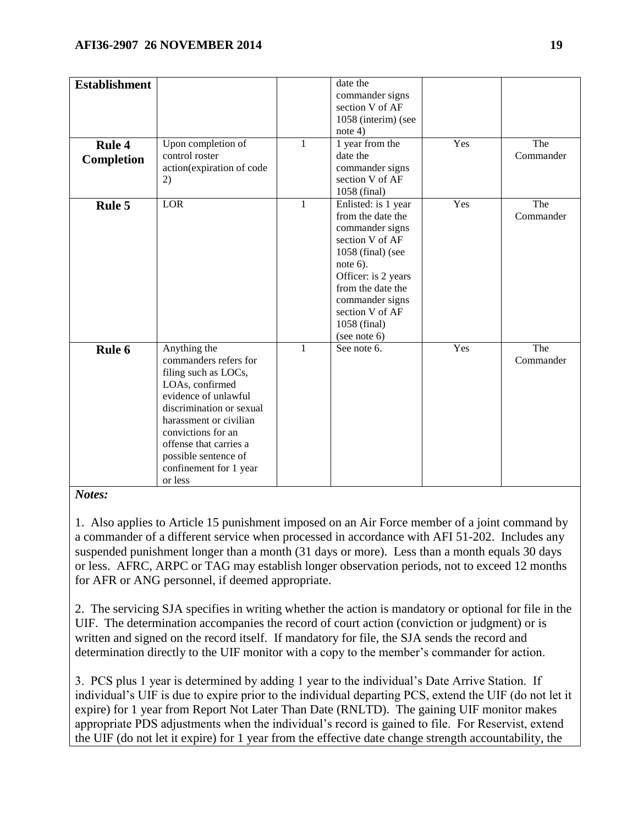| <b>Establishment</b> |                           |              | date the<br>commander signs |     |           |
|----------------------|---------------------------|--------------|-----------------------------|-----|-----------|
|                      |                           |              | section V of AF             |     |           |
|                      |                           |              | 1058 (interim) (see         |     |           |
|                      |                           |              | note $4$ )                  |     |           |
| <b>Rule 4</b>        | Upon completion of        | $\mathbf{1}$ | 1 year from the             | Yes | The       |
| Completion           | control roster            |              | date the                    |     | Commander |
|                      | action(expiration of code |              | commander signs             |     |           |
|                      | 2)                        |              | section V of AF             |     |           |
|                      |                           |              | 1058 (final)                |     |           |
| Rule 5               | LOR                       | $\mathbf{1}$ | Enlisted: is 1 year         | Yes | The       |
|                      |                           |              | from the date the           |     | Commander |
|                      |                           |              | commander signs             |     |           |
|                      |                           |              | section V of AF             |     |           |
|                      |                           |              | 1058 (final) (see           |     |           |
|                      |                           |              | note $6$ ).                 |     |           |
|                      |                           |              | Officer: is 2 years         |     |           |
|                      |                           |              | from the date the           |     |           |
|                      |                           |              | commander signs             |     |           |
|                      |                           |              | section V of AF             |     |           |
|                      |                           |              | 1058 (final)                |     |           |
|                      |                           |              | (see note 6)                |     |           |
| Rule 6               | Anything the              | $\mathbf{1}$ | See note 6.                 | Yes | The       |
|                      | commanders refers for     |              |                             |     | Commander |
|                      | filing such as LOCs,      |              |                             |     |           |
|                      | LOAs, confirmed           |              |                             |     |           |
|                      | evidence of unlawful      |              |                             |     |           |
|                      | discrimination or sexual  |              |                             |     |           |
|                      | harassment or civilian    |              |                             |     |           |
|                      | convictions for an        |              |                             |     |           |
|                      | offense that carries a    |              |                             |     |           |
|                      | possible sentence of      |              |                             |     |           |
|                      | confinement for 1 year    |              |                             |     |           |
|                      | or less                   |              |                             |     |           |

*Notes:*

1. Also applies to Article 15 punishment imposed on an Air Force member of a joint command by a commander of a different service when processed in accordance with AFI 51-202. Includes any suspended punishment longer than a month (31 days or more). Less than a month equals 30 days or less. AFRC, ARPC or TAG may establish longer observation periods, not to exceed 12 months for AFR or ANG personnel, if deemed appropriate.

2. The servicing SJA specifies in writing whether the action is mandatory or optional for file in the UIF. The determination accompanies the record of court action (conviction or judgment) or is written and signed on the record itself. If mandatory for file, the SJA sends the record and determination directly to the UIF monitor with a copy to the member's commander for action.

3. PCS plus 1 year is determined by adding 1 year to the individual's Date Arrive Station. If individual's UIF is due to expire prior to the individual departing PCS, extend the UIF (do not let it expire) for 1 year from Report Not Later Than Date (RNLTD). The gaining UIF monitor makes appropriate PDS adjustments when the individual's record is gained to file. For Reservist, extend the UIF (do not let it expire) for 1 year from the effective date change strength accountability, the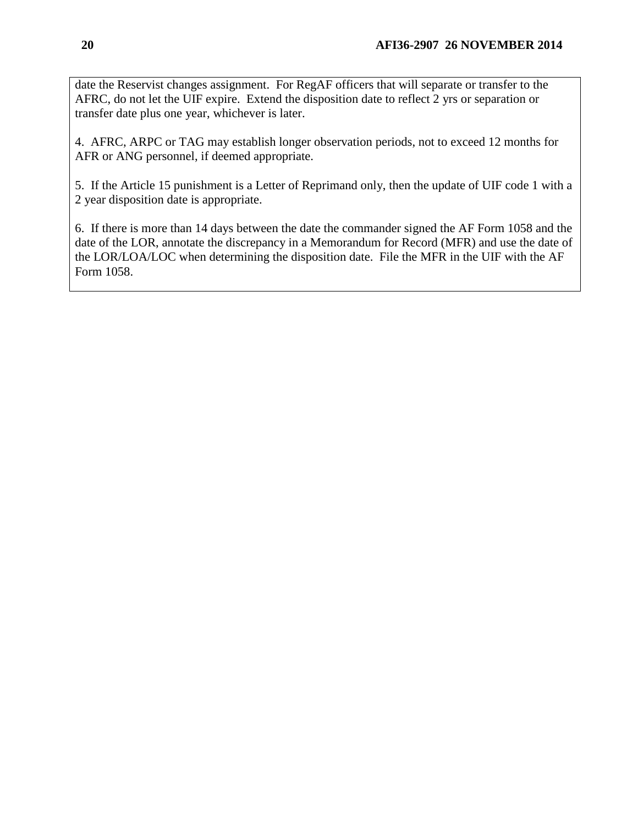date the Reservist changes assignment. For RegAF officers that will separate or transfer to the AFRC, do not let the UIF expire. Extend the disposition date to reflect 2 yrs or separation or transfer date plus one year, whichever is later.

4. AFRC, ARPC or TAG may establish longer observation periods, not to exceed 12 months for AFR or ANG personnel, if deemed appropriate.

5. If the Article 15 punishment is a Letter of Reprimand only, then the update of UIF code 1 with a 2 year disposition date is appropriate.

<span id="page-19-0"></span>6. If there is more than 14 days between the date the commander signed the AF Form 1058 and the date of the LOR, annotate the discrepancy in a Memorandum for Record (MFR) and use the date of the LOR/LOA/LOC when determining the disposition date. File the MFR in the UIF with the AF Form 1058.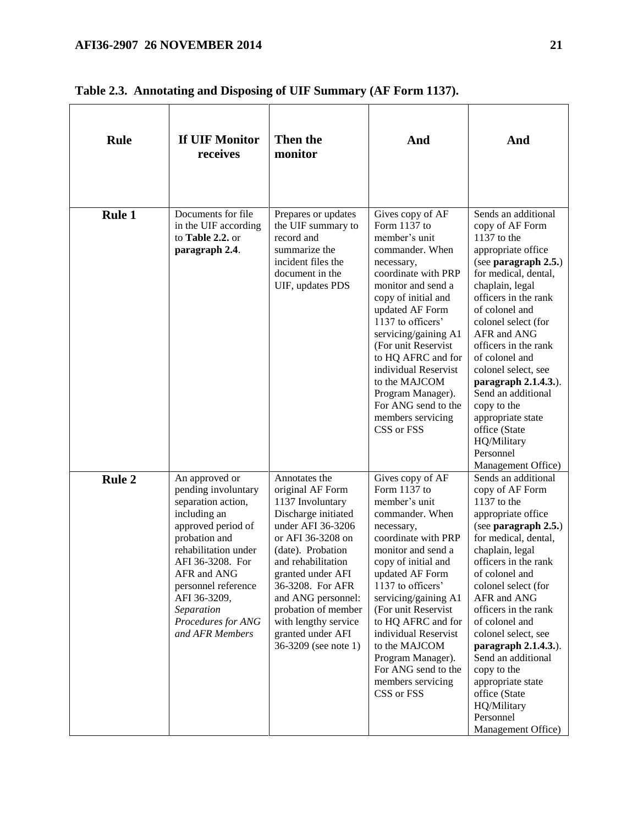| <b>Rule</b>   | If UIF Monitor<br>receives                                                                                                                                                                                                                                                  | Then the<br>monitor                                                                                                                                                                                                                                                                                                          | And                                                                                                                                                                                                                                                                                                                                                                                           | And                                                                                                                                                                                                                                                                                                                                                                                                                                                       |
|---------------|-----------------------------------------------------------------------------------------------------------------------------------------------------------------------------------------------------------------------------------------------------------------------------|------------------------------------------------------------------------------------------------------------------------------------------------------------------------------------------------------------------------------------------------------------------------------------------------------------------------------|-----------------------------------------------------------------------------------------------------------------------------------------------------------------------------------------------------------------------------------------------------------------------------------------------------------------------------------------------------------------------------------------------|-----------------------------------------------------------------------------------------------------------------------------------------------------------------------------------------------------------------------------------------------------------------------------------------------------------------------------------------------------------------------------------------------------------------------------------------------------------|
| <b>Rule 1</b> | Documents for file<br>in the UIF according<br>to Table 2.2. or<br>paragraph 2.4.                                                                                                                                                                                            | Prepares or updates<br>the UIF summary to<br>record and<br>summarize the<br>incident files the<br>document in the<br>UIF, updates PDS                                                                                                                                                                                        | Gives copy of AF<br>Form 1137 to<br>member's unit<br>commander. When<br>necessary,<br>coordinate with PRP<br>monitor and send a<br>copy of initial and<br>updated AF Form<br>1137 to officers'<br>servicing/gaining A1<br>(For unit Reservist)<br>to HQ AFRC and for<br>individual Reservist<br>to the MAJCOM<br>Program Manager).<br>For ANG send to the<br>members servicing<br>CSS or FSS  | Sends an additional<br>copy of AF Form<br>$1137$ to the<br>appropriate office<br>(see paragraph 2.5.)<br>for medical, dental,<br>chaplain, legal<br>officers in the rank<br>of colonel and<br>colonel select (for<br>AFR and ANG<br>officers in the rank<br>of colonel and<br>colonel select, see<br>paragraph 2.1.4.3.).<br>Send an additional<br>copy to the<br>appropriate state<br>office (State<br>HQ/Military<br>Personnel<br>Management Office)    |
| <b>Rule 2</b> | An approved or<br>pending involuntary<br>separation action,<br>including an<br>approved period of<br>probation and<br>rehabilitation under<br>AFI 36-3208. For<br>AFR and ANG<br>personnel reference<br>AFI 36-3209,<br>Separation<br>Procedures for ANG<br>and AFR Members | Annotates the<br>original AF Form<br>1137 Involuntary<br>Discharge initiated<br>under AFI 36-3206<br>or AFI 36-3208 on<br>(date). Probation<br>and rehabilitation<br>granted under AFI<br>36-3208. For AFR<br>and ANG personnel:<br>probation of member<br>with lengthy service<br>granted under AFI<br>36-3209 (see note 1) | Gives copy of AF<br>Form $1137$ to<br>member's unit<br>commander. When<br>necessary,<br>coordinate with PRP<br>monitor and send a<br>copy of initial and<br>updated AF Form<br>1137 to officers'<br>servicing/gaining A1<br>(For unit Reservist<br>to HQ AFRC and for<br>individual Reservist<br>to the MAJCOM<br>Program Manager).<br>For ANG send to the<br>members servicing<br>CSS or FSS | Sends an additional<br>copy of AF Form<br>$1137$ to the<br>appropriate office<br>(see paragraph 2.5.)<br>for medical, dental,<br>chaplain, legal<br>officers in the rank<br>of colonel and<br>colonel select (for<br>AFR and ANG<br>officers in the rank<br>of colonel and<br>colonel select, see<br>paragraph $2.1.4.3.$ ).<br>Send an additional<br>copy to the<br>appropriate state<br>office (State<br>HQ/Military<br>Personnel<br>Management Office) |

| Table 2.3. Annotating and Disposing of UIF Summary (AF Form 1137). |  |  |
|--------------------------------------------------------------------|--|--|
|                                                                    |  |  |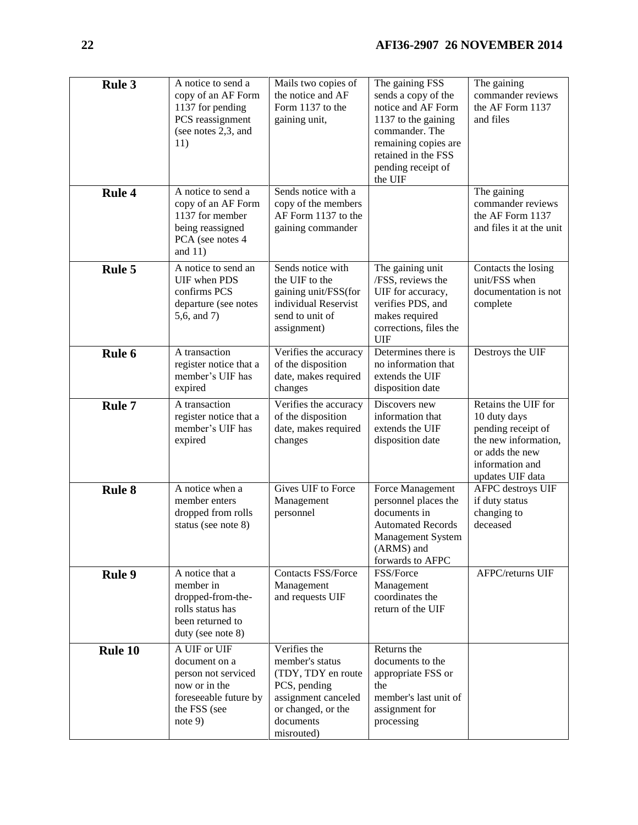| Rule 3        | A notice to send a<br>copy of an AF Form<br>1137 for pending<br>PCS reassignment<br>(see notes 2,3, and<br>11)              | Mails two copies of<br>the notice and AF<br>Form 1137 to the<br>gaining unit,                                                                 | The gaining FSS<br>sends a copy of the<br>notice and AF Form<br>1137 to the gaining<br>commander. The<br>remaining copies are<br>retained in the FSS<br>pending receipt of<br>the UIF | The gaining<br>commander reviews<br>the AF Form 1137<br>and files                                                                           |
|---------------|-----------------------------------------------------------------------------------------------------------------------------|-----------------------------------------------------------------------------------------------------------------------------------------------|---------------------------------------------------------------------------------------------------------------------------------------------------------------------------------------|---------------------------------------------------------------------------------------------------------------------------------------------|
| <b>Rule 4</b> | A notice to send a<br>copy of an AF Form<br>1137 for member<br>being reassigned<br>PCA (see notes 4<br>and $11)$            | Sends notice with a<br>copy of the members<br>AF Form 1137 to the<br>gaining commander                                                        |                                                                                                                                                                                       | The gaining<br>commander reviews<br>the AF Form 1137<br>and files it at the unit                                                            |
| <b>Rule 5</b> | A notice to send an<br>UIF when PDS<br>confirms PCS<br>departure (see notes<br>5,6, and 7)                                  | Sends notice with<br>the UIF to the<br>gaining unit/FSS(for<br>individual Reservist<br>send to unit of<br>assignment)                         | The gaining unit<br>/FSS, reviews the<br>UIF for accuracy,<br>verifies PDS, and<br>makes required<br>corrections, files the<br><b>UIF</b>                                             | Contacts the losing<br>unit/FSS when<br>documentation is not<br>complete                                                                    |
| Rule 6        | A transaction<br>register notice that a<br>member's UIF has<br>expired                                                      | Verifies the accuracy<br>of the disposition<br>date, makes required<br>changes                                                                | Determines there is<br>no information that<br>extends the UIF<br>disposition date                                                                                                     | Destroys the UIF                                                                                                                            |
| Rule 7        | A transaction<br>register notice that a<br>member's UIF has<br>expired                                                      | Verifies the accuracy<br>of the disposition<br>date, makes required<br>changes                                                                | Discovers new<br>information that<br>extends the UIF<br>disposition date                                                                                                              | Retains the UIF for<br>10 duty days<br>pending receipt of<br>the new information,<br>or adds the new<br>information and<br>updates UIF data |
| <b>Rule 8</b> | A notice when a<br>member enters<br>dropped from rolls<br>status (see note 8)                                               | Gives UIF to Force<br>Management<br>personnel                                                                                                 | Force Management<br>personnel places the<br>documents in<br><b>Automated Records</b><br><b>Management System</b><br>(ARMS) and<br>forwards to AFPC                                    | <b>AFPC</b> destroys UIF<br>if duty status<br>changing to<br>deceased                                                                       |
| <b>Rule 9</b> | A notice that a<br>member in<br>dropped-from-the-<br>rolls status has<br>been returned to<br>duty (see note 8)              | <b>Contacts FSS/Force</b><br>Management<br>and requests UIF                                                                                   | FSS/Force<br>Management<br>coordinates the<br>return of the UIF                                                                                                                       | <b>AFPC/returns UIF</b>                                                                                                                     |
| Rule 10       | A UIF or UIF<br>document on a<br>person not serviced<br>now or in the<br>foreseeable future by<br>the FSS (see<br>note $9)$ | Verifies the<br>member's status<br>(TDY, TDY en route<br>PCS, pending<br>assignment canceled<br>or changed, or the<br>documents<br>misrouted) | Returns the<br>documents to the<br>appropriate FSS or<br>the<br>member's last unit of<br>assignment for<br>processing                                                                 |                                                                                                                                             |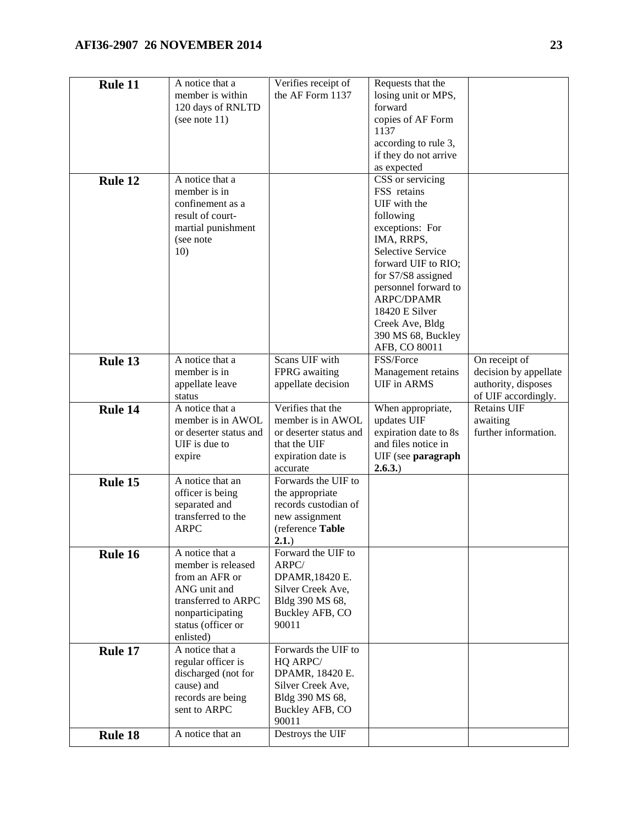# **AFI36-2907 26 NOVEMBER 2014 23**

| Rule 11 | A notice that a<br>member is within<br>120 days of RNLTD<br>(see note $11$ )                                                                          | Verifies receipt of<br>the AF Form 1137                                                                                | Requests that the<br>losing unit or MPS,<br>forward<br>copies of AF Form<br>1137<br>according to rule 3,<br>if they do not arrive<br>as expected                                                                                                                                         |                                                                                      |
|---------|-------------------------------------------------------------------------------------------------------------------------------------------------------|------------------------------------------------------------------------------------------------------------------------|------------------------------------------------------------------------------------------------------------------------------------------------------------------------------------------------------------------------------------------------------------------------------------------|--------------------------------------------------------------------------------------|
| Rule 12 | A notice that a<br>member is in<br>confinement as a<br>result of court-<br>martial punishment<br>(see note<br>10)                                     |                                                                                                                        | CSS or servicing<br>FSS retains<br>UIF with the<br>following<br>exceptions: For<br>IMA, RRPS,<br><b>Selective Service</b><br>forward UIF to RIO;<br>for S7/S8 assigned<br>personnel forward to<br>ARPC/DPAMR<br>18420 E Silver<br>Creek Ave, Bldg<br>390 MS 68, Buckley<br>AFB, CO 80011 |                                                                                      |
| Rule 13 | A notice that a<br>member is in<br>appellate leave<br>status                                                                                          | Scans UIF with<br>FPRG awaiting<br>appellate decision                                                                  | FSS/Force<br>Management retains<br><b>UIF</b> in ARMS                                                                                                                                                                                                                                    | On receipt of<br>decision by appellate<br>authority, disposes<br>of UIF accordingly. |
| Rule 14 | A notice that a<br>member is in AWOL<br>or deserter status and<br>$UIF$ is due to<br>expire                                                           | Verifies that the<br>member is in AWOL<br>or deserter status and<br>that the UIF<br>expiration date is<br>accurate     | When appropriate,<br>updates UIF<br>expiration date to 8s<br>and files notice in<br>UIF (see paragraph<br>2.6.3.)                                                                                                                                                                        | <b>Retains UIF</b><br>awaiting<br>further information.                               |
| Rule 15 | A notice that an<br>officer is being<br>separated and<br>transferred to the<br><b>ARPC</b>                                                            | Forwards the UIF to<br>the appropriate<br>records custodian of<br>new assignment<br>(reference Table<br>2.1.)          |                                                                                                                                                                                                                                                                                          |                                                                                      |
| Rule 16 | A notice that a<br>member is released<br>from an AFR or<br>ANG unit and<br>transferred to ARPC<br>nonparticipating<br>status (officer or<br>enlisted) | Forward the UIF to<br>ARPC/<br>DPAMR, 18420 E.<br>Silver Creek Ave,<br>Bldg 390 MS 68,<br>Buckley AFB, CO<br>90011     |                                                                                                                                                                                                                                                                                          |                                                                                      |
| Rule 17 | A notice that a<br>regular officer is<br>discharged (not for<br>cause) and<br>records are being<br>sent to ARPC                                       | Forwards the UIF to<br>HQ ARPC/<br>DPAMR, 18420 E.<br>Silver Creek Ave,<br>Bldg 390 MS 68,<br>Buckley AFB, CO<br>90011 |                                                                                                                                                                                                                                                                                          |                                                                                      |
| Rule 18 | A notice that an                                                                                                                                      | Destroys the UIF                                                                                                       |                                                                                                                                                                                                                                                                                          |                                                                                      |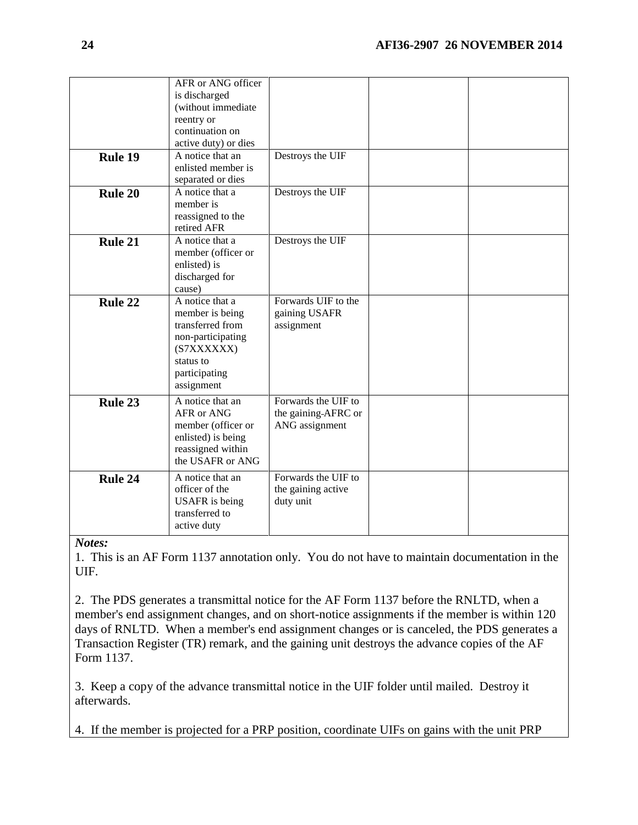|         | AFR or ANG officer<br>is discharged<br>(without immediate<br>reentry or<br>continuation on<br>active duty) or dies                    |                                                              |  |
|---------|---------------------------------------------------------------------------------------------------------------------------------------|--------------------------------------------------------------|--|
| Rule 19 | A notice that an<br>enlisted member is<br>separated or dies                                                                           | Destroys the UIF                                             |  |
| Rule 20 | A notice that a<br>member is<br>reassigned to the<br>retired AFR                                                                      | Destroys the UIF                                             |  |
| Rule 21 | A notice that a<br>member (officer or<br>enlisted) is<br>discharged for<br>cause)                                                     | Destroys the UIF                                             |  |
| Rule 22 | A notice that a<br>member is being<br>transferred from<br>non-participating<br>(S7XXXXXX)<br>status to<br>participating<br>assignment | Forwards UIF to the<br>gaining USAFR<br>assignment           |  |
| Rule 23 | A notice that an<br>AFR or ANG<br>member (officer or<br>enlisted) is being<br>reassigned within<br>the USAFR or ANG                   | Forwards the UIF to<br>the gaining-AFRC or<br>ANG assignment |  |
| Rule 24 | A notice that an<br>officer of the<br><b>USAFR</b> is being<br>transferred to<br>active duty                                          | Forwards the UIF to<br>the gaining active<br>duty unit       |  |

*Notes:*

1. This is an AF Form 1137 annotation only. You do not have to maintain documentation in the UIF.

2. The PDS generates a transmittal notice for the AF Form 1137 before the RNLTD, when a member's end assignment changes, and on short-notice assignments if the member is within 120 days of RNLTD. When a member's end assignment changes or is canceled, the PDS generates a Transaction Register (TR) remark, and the gaining unit destroys the advance copies of the AF Form 1137.

3. Keep a copy of the advance transmittal notice in the UIF folder until mailed. Destroy it afterwards.

4. If the member is projected for a PRP position, coordinate UIFs on gains with the unit PRP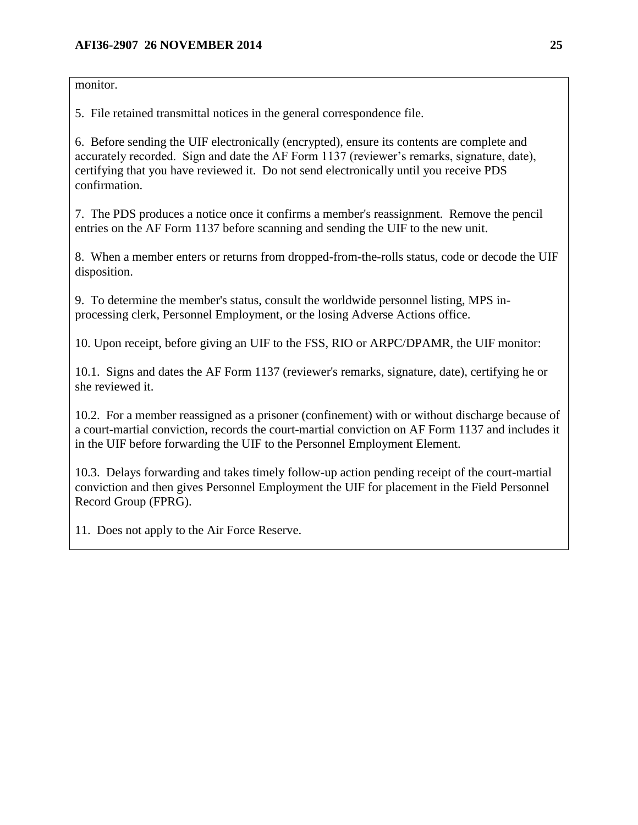monitor.

5. File retained transmittal notices in the general correspondence file.

6. Before sending the UIF electronically (encrypted), ensure its contents are complete and accurately recorded. Sign and date the AF Form 1137 (reviewer's remarks, signature, date), certifying that you have reviewed it. Do not send electronically until you receive PDS confirmation.

7. The PDS produces a notice once it confirms a member's reassignment. Remove the pencil entries on the AF Form 1137 before scanning and sending the UIF to the new unit.

8. When a member enters or returns from dropped-from-the-rolls status, code or decode the UIF disposition.

9. To determine the member's status, consult the worldwide personnel listing, MPS inprocessing clerk, Personnel Employment, or the losing Adverse Actions office.

10. Upon receipt, before giving an UIF to the FSS, RIO or ARPC/DPAMR, the UIF monitor:

10.1. Signs and dates the AF Form 1137 (reviewer's remarks, signature, date), certifying he or she reviewed it.

10.2. For a member reassigned as a prisoner (confinement) with or without discharge because of a court-martial conviction, records the court-martial conviction on AF Form 1137 and includes it in the UIF before forwarding the UIF to the Personnel Employment Element.

10.3. Delays forwarding and takes timely follow-up action pending receipt of the court-martial conviction and then gives Personnel Employment the UIF for placement in the Field Personnel Record Group (FPRG).

11. Does not apply to the Air Force Reserve.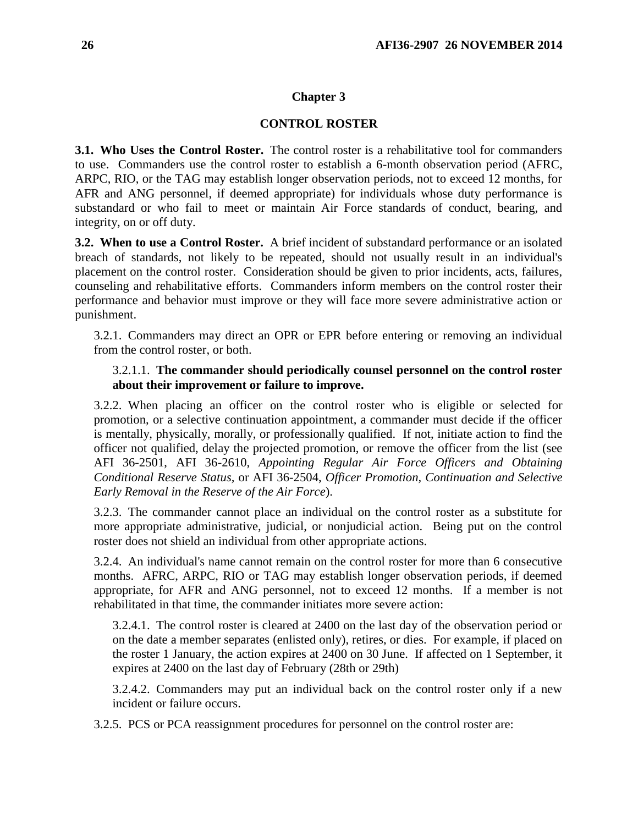## **Chapter 3**

## **CONTROL ROSTER**

<span id="page-25-1"></span><span id="page-25-0"></span>**3.1. Who Uses the Control Roster.** The control roster is a rehabilitative tool for commanders to use. Commanders use the control roster to establish a 6-month observation period (AFRC, ARPC, RIO, or the TAG may establish longer observation periods, not to exceed 12 months, for AFR and ANG personnel, if deemed appropriate) for individuals whose duty performance is substandard or who fail to meet or maintain Air Force standards of conduct, bearing, and integrity, on or off duty.

<span id="page-25-2"></span>**3.2. When to use a Control Roster.** A brief incident of substandard performance or an isolated breach of standards, not likely to be repeated, should not usually result in an individual's placement on the control roster. Consideration should be given to prior incidents, acts, failures, counseling and rehabilitative efforts. Commanders inform members on the control roster their performance and behavior must improve or they will face more severe administrative action or punishment.

3.2.1. Commanders may direct an OPR or EPR before entering or removing an individual from the control roster, or both.

## 3.2.1.1. **The commander should periodically counsel personnel on the control roster about their improvement or failure to improve.**

3.2.2. When placing an officer on the control roster who is eligible or selected for promotion, or a selective continuation appointment, a commander must decide if the officer is mentally, physically, morally, or professionally qualified. If not, initiate action to find the officer not qualified, delay the projected promotion, or remove the officer from the list (see AFI 36-2501, AFI 36-2610, *Appointing Regular Air Force Officers and Obtaining Conditional Reserve Status,* or AFI 36-2504, *Officer Promotion, Continuation and Selective Early Removal in the Reserve of the Air Force*).

3.2.3. The commander cannot place an individual on the control roster as a substitute for more appropriate administrative, judicial, or nonjudicial action. Being put on the control roster does not shield an individual from other appropriate actions.

3.2.4. An individual's name cannot remain on the control roster for more than 6 consecutive months. AFRC, ARPC, RIO or TAG may establish longer observation periods, if deemed appropriate, for AFR and ANG personnel, not to exceed 12 months. If a member is not rehabilitated in that time, the commander initiates more severe action:

3.2.4.1. The control roster is cleared at 2400 on the last day of the observation period or on the date a member separates (enlisted only), retires, or dies. For example, if placed on the roster 1 January, the action expires at 2400 on 30 June. If affected on 1 September, it expires at 2400 on the last day of February (28th or 29th)

3.2.4.2. Commanders may put an individual back on the control roster only if a new incident or failure occurs.

3.2.5. PCS or PCA reassignment procedures for personnel on the control roster are: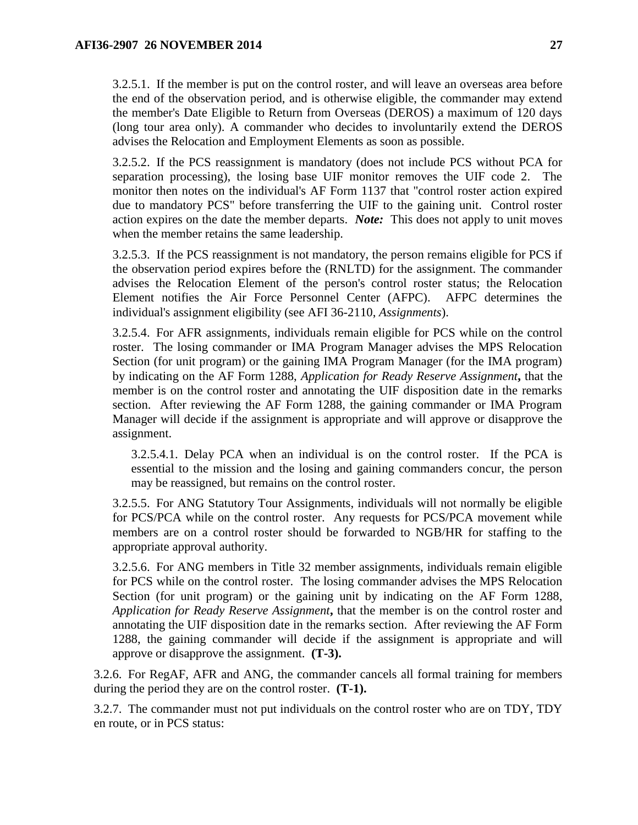3.2.5.1. If the member is put on the control roster, and will leave an overseas area before the end of the observation period, and is otherwise eligible, the commander may extend the member's Date Eligible to Return from Overseas (DEROS) a maximum of 120 days (long tour area only). A commander who decides to involuntarily extend the DEROS advises the Relocation and Employment Elements as soon as possible.

3.2.5.2. If the PCS reassignment is mandatory (does not include PCS without PCA for separation processing), the losing base UIF monitor removes the UIF code 2. The monitor then notes on the individual's AF Form 1137 that "control roster action expired due to mandatory PCS" before transferring the UIF to the gaining unit. Control roster action expires on the date the member departs. *Note:* This does not apply to unit moves when the member retains the same leadership.

3.2.5.3. If the PCS reassignment is not mandatory, the person remains eligible for PCS if the observation period expires before the (RNLTD) for the assignment. The commander advises the Relocation Element of the person's control roster status; the Relocation Element notifies the Air Force Personnel Center (AFPC). AFPC determines the individual's assignment eligibility (see AFI 36-2110, *Assignments*).

3.2.5.4. For AFR assignments, individuals remain eligible for PCS while on the control roster. The losing commander or IMA Program Manager advises the MPS Relocation Section (for unit program) or the gaining IMA Program Manager (for the IMA program) by indicating on the AF Form 1288, *Application for Ready Reserve Assignment***,** that the member is on the control roster and annotating the UIF disposition date in the remarks section. After reviewing the AF Form 1288, the gaining commander or IMA Program Manager will decide if the assignment is appropriate and will approve or disapprove the assignment.

3.2.5.4.1. Delay PCA when an individual is on the control roster. If the PCA is essential to the mission and the losing and gaining commanders concur, the person may be reassigned, but remains on the control roster.

3.2.5.5. For ANG Statutory Tour Assignments, individuals will not normally be eligible for PCS/PCA while on the control roster. Any requests for PCS/PCA movement while members are on a control roster should be forwarded to NGB/HR for staffing to the appropriate approval authority.

3.2.5.6. For ANG members in Title 32 member assignments, individuals remain eligible for PCS while on the control roster. The losing commander advises the MPS Relocation Section (for unit program) or the gaining unit by indicating on the AF Form 1288, *Application for Ready Reserve Assignment***,** that the member is on the control roster and annotating the UIF disposition date in the remarks section. After reviewing the AF Form 1288, the gaining commander will decide if the assignment is appropriate and will approve or disapprove the assignment. **(T-3).**

3.2.6. For RegAF, AFR and ANG, the commander cancels all formal training for members during the period they are on the control roster. **(T-1).**

3.2.7. The commander must not put individuals on the control roster who are on TDY, TDY en route, or in PCS status: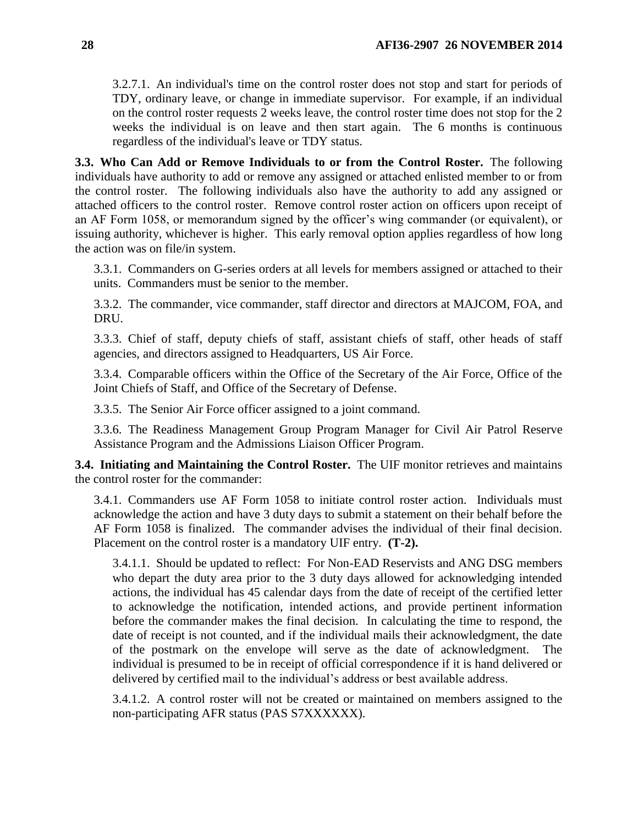3.2.7.1. An individual's time on the control roster does not stop and start for periods of TDY, ordinary leave, or change in immediate supervisor. For example, if an individual on the control roster requests 2 weeks leave, the control roster time does not stop for the 2 weeks the individual is on leave and then start again. The 6 months is continuous regardless of the individual's leave or TDY status.

<span id="page-27-0"></span>**3.3. Who Can Add or Remove Individuals to or from the Control Roster.** The following individuals have authority to add or remove any assigned or attached enlisted member to or from the control roster. The following individuals also have the authority to add any assigned or attached officers to the control roster. Remove control roster action on officers upon receipt of an AF Form 1058, or memorandum signed by the officer's wing commander (or equivalent), or issuing authority, whichever is higher. This early removal option applies regardless of how long the action was on file/in system.

3.3.1. Commanders on G-series orders at all levels for members assigned or attached to their units. Commanders must be senior to the member.

3.3.2. The commander, vice commander, staff director and directors at MAJCOM, FOA, and DRU.

3.3.3. Chief of staff, deputy chiefs of staff, assistant chiefs of staff, other heads of staff agencies, and directors assigned to Headquarters, US Air Force.

3.3.4. Comparable officers within the Office of the Secretary of the Air Force, Office of the Joint Chiefs of Staff, and Office of the Secretary of Defense.

3.3.5. The Senior Air Force officer assigned to a joint command.

3.3.6. The Readiness Management Group Program Manager for Civil Air Patrol Reserve Assistance Program and the Admissions Liaison Officer Program.

<span id="page-27-1"></span>**3.4. Initiating and Maintaining the Control Roster.** The UIF monitor retrieves and maintains the control roster for the commander:

3.4.1. Commanders use AF Form 1058 to initiate control roster action. Individuals must acknowledge the action and have 3 duty days to submit a statement on their behalf before the AF Form 1058 is finalized. The commander advises the individual of their final decision. Placement on the control roster is a mandatory UIF entry. **(T-2).**

3.4.1.1. Should be updated to reflect: For Non-EAD Reservists and ANG DSG members who depart the duty area prior to the 3 duty days allowed for acknowledging intended actions, the individual has 45 calendar days from the date of receipt of the certified letter to acknowledge the notification, intended actions, and provide pertinent information before the commander makes the final decision. In calculating the time to respond, the date of receipt is not counted, and if the individual mails their acknowledgment, the date of the postmark on the envelope will serve as the date of acknowledgment. The individual is presumed to be in receipt of official correspondence if it is hand delivered or delivered by certified mail to the individual's address or best available address.

3.4.1.2. A control roster will not be created or maintained on members assigned to the non-participating AFR status (PAS S7XXXXXX).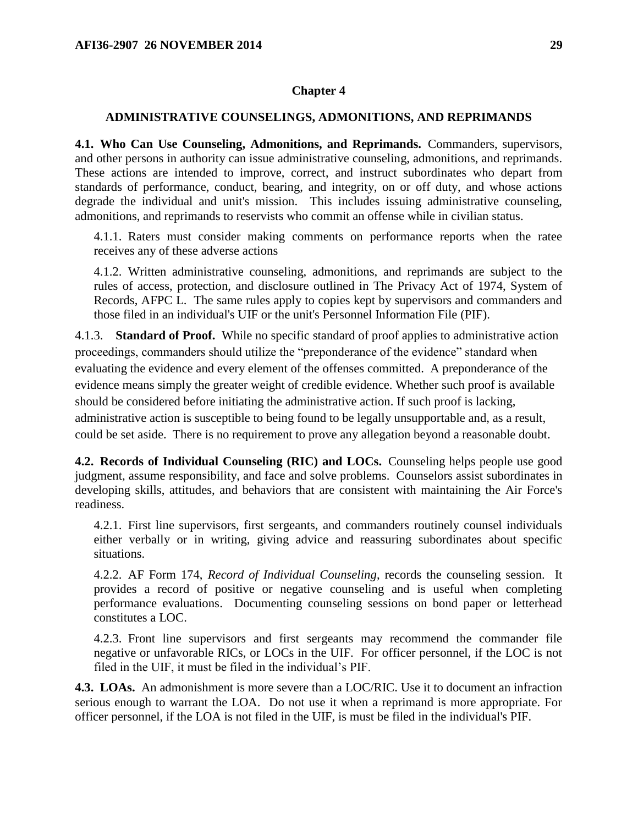#### **Chapter 4**

#### <span id="page-28-0"></span>**ADMINISTRATIVE COUNSELINGS, ADMONITIONS, AND REPRIMANDS**

<span id="page-28-1"></span>**4.1. Who Can Use Counseling, Admonitions, and Reprimands.** Commanders, supervisors, and other persons in authority can issue administrative counseling, admonitions, and reprimands. These actions are intended to improve, correct, and instruct subordinates who depart from standards of performance, conduct, bearing, and integrity, on or off duty, and whose actions degrade the individual and unit's mission. This includes issuing administrative counseling, admonitions, and reprimands to reservists who commit an offense while in civilian status.

4.1.1. Raters must consider making comments on performance reports when the ratee receives any of these adverse actions

4.1.2. Written administrative counseling, admonitions, and reprimands are subject to the rules of access, protection, and disclosure outlined in The Privacy Act of 1974, System of Records, AFPC L. The same rules apply to copies kept by supervisors and commanders and those filed in an individual's UIF or the unit's Personnel Information File (PIF).

4.1.3. **Standard of Proof.** While no specific standard of proof applies to administrative action proceedings, commanders should utilize the "preponderance of the evidence" standard when evaluating the evidence and every element of the offenses committed. A preponderance of the evidence means simply the greater weight of credible evidence. Whether such proof is available should be considered before initiating the administrative action. If such proof is lacking, administrative action is susceptible to being found to be legally unsupportable and, as a result, could be set aside. There is no requirement to prove any allegation beyond a reasonable doubt.

<span id="page-28-2"></span>**4.2. Records of Individual Counseling (RIC) and LOCs.** Counseling helps people use good judgment, assume responsibility, and face and solve problems. Counselors assist subordinates in developing skills, attitudes, and behaviors that are consistent with maintaining the Air Force's readiness.

4.2.1. First line supervisors, first sergeants, and commanders routinely counsel individuals either verbally or in writing, giving advice and reassuring subordinates about specific situations.

4.2.2. AF Form 174, *Record of Individual Counseling*, records the counseling session. It provides a record of positive or negative counseling and is useful when completing performance evaluations. Documenting counseling sessions on bond paper or letterhead constitutes a LOC.

4.2.3. Front line supervisors and first sergeants may recommend the commander file negative or unfavorable RICs, or LOCs in the UIF. For officer personnel, if the LOC is not filed in the UIF, it must be filed in the individual's PIF.

<span id="page-28-3"></span>**4.3. LOAs.** An admonishment is more severe than a LOC/RIC. Use it to document an infraction serious enough to warrant the LOA. Do not use it when a reprimand is more appropriate. For officer personnel, if the LOA is not filed in the UIF, is must be filed in the individual's PIF.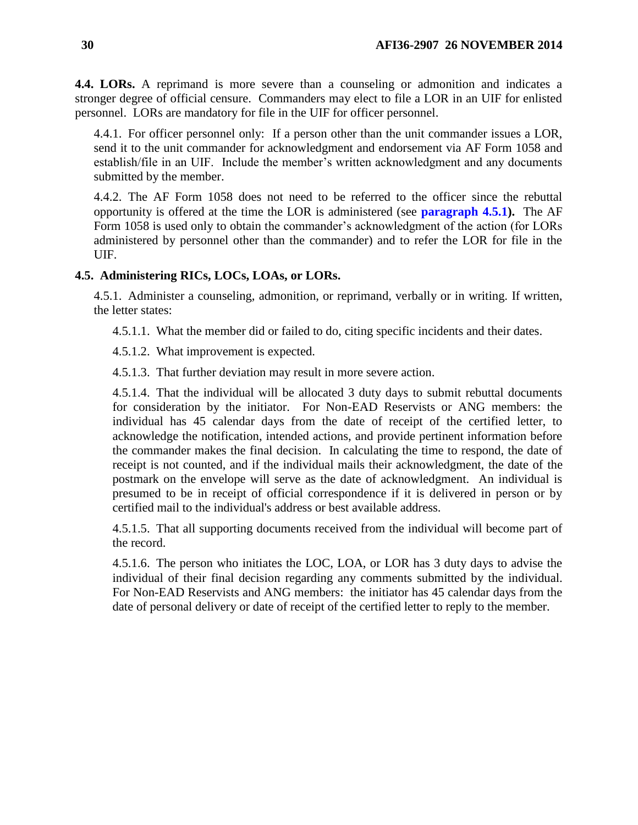<span id="page-29-0"></span>**4.4. LORs.** A reprimand is more severe than a counseling or admonition and indicates a stronger degree of official censure. Commanders may elect to file a LOR in an UIF for enlisted personnel. LORs are mandatory for file in the UIF for officer personnel.

4.4.1. For officer personnel only: If a person other than the unit commander issues a LOR, send it to the unit commander for acknowledgment and endorsement via AF Form 1058 and establish/file in an UIF. Include the member's written acknowledgment and any documents submitted by the member.

4.4.2. The AF Form 1058 does not need to be referred to the officer since the rebuttal opportunity is offered at the time the LOR is administered (see **[paragraph 4.5.1\)](#page-29-2).** The AF Form 1058 is used only to obtain the commander's acknowledgment of the action (for LORs administered by personnel other than the commander) and to refer the LOR for file in the UIF.

### <span id="page-29-2"></span><span id="page-29-1"></span>**4.5. Administering RICs, LOCs, LOAs, or LORs.**

4.5.1. Administer a counseling, admonition, or reprimand, verbally or in writing. If written, the letter states:

4.5.1.1. What the member did or failed to do, citing specific incidents and their dates.

4.5.1.2. What improvement is expected.

4.5.1.3. That further deviation may result in more severe action.

4.5.1.4. That the individual will be allocated 3 duty days to submit rebuttal documents for consideration by the initiator. For Non-EAD Reservists or ANG members: the individual has 45 calendar days from the date of receipt of the certified letter, to acknowledge the notification, intended actions, and provide pertinent information before the commander makes the final decision. In calculating the time to respond, the date of receipt is not counted, and if the individual mails their acknowledgment, the date of the postmark on the envelope will serve as the date of acknowledgment. An individual is presumed to be in receipt of official correspondence if it is delivered in person or by certified mail to the individual's address or best available address.

4.5.1.5. That all supporting documents received from the individual will become part of the record.

4.5.1.6. The person who initiates the LOC, LOA, or LOR has 3 duty days to advise the individual of their final decision regarding any comments submitted by the individual. For Non-EAD Reservists and ANG members: the initiator has 45 calendar days from the date of personal delivery or date of receipt of the certified letter to reply to the member.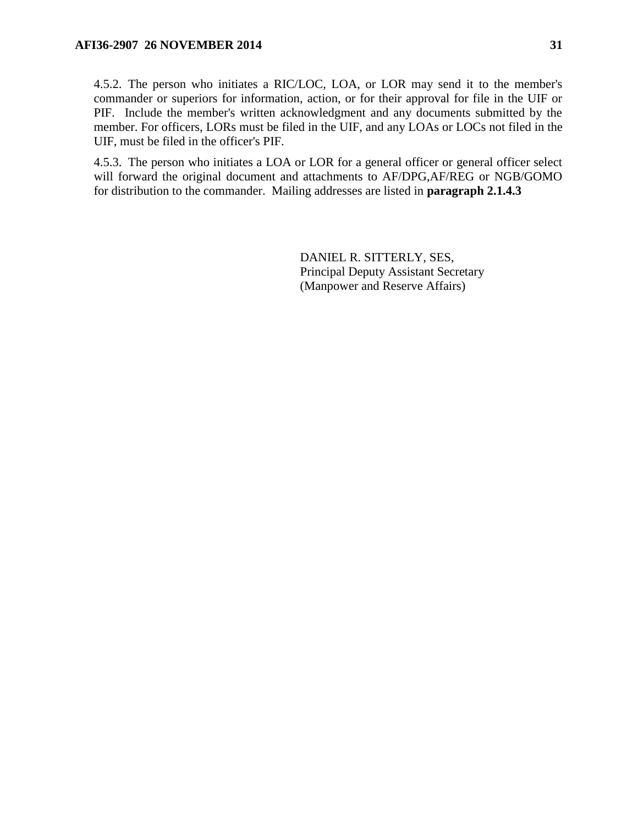4.5.2. The person who initiates a RIC/LOC, LOA, or LOR may send it to the member's commander or superiors for information, action, or for their approval for file in the UIF or PIF. Include the member's written acknowledgment and any documents submitted by the member. For officers, LORs must be filed in the UIF, and any LOAs or LOCs not filed in the UIF, must be filed in the officer's PIF.

4.5.3. The person who initiates a LOA or LOR for a general officer or general officer select will forward the original document and attachments to AF/DPG,AF/REG or NGB/GOMO for distribution to the commander. Mailing addresses are listed in **paragraph 2.1.4.3**

> DANIEL R. SITTERLY, SES, Principal Deputy Assistant Secretary (Manpower and Reserve Affairs)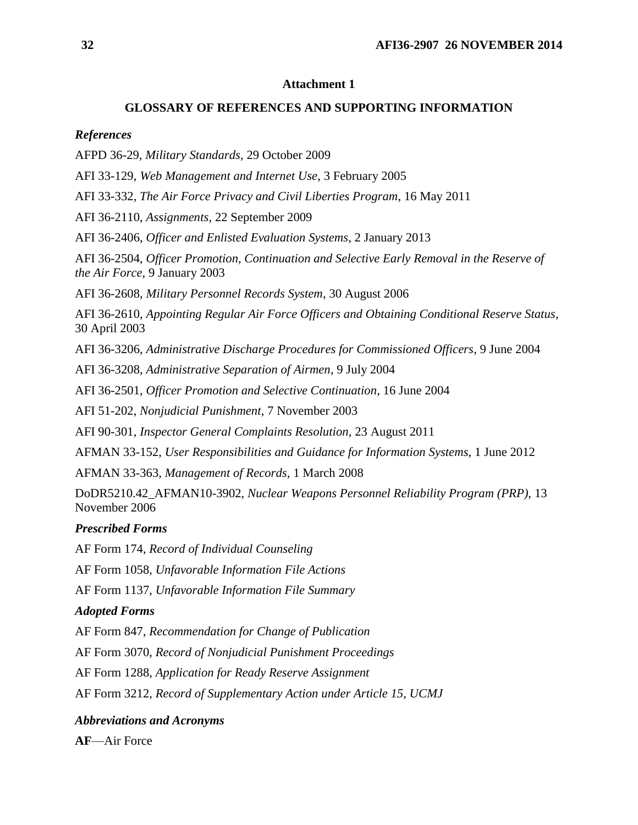### **Attachment 1**

### **GLOSSARY OF REFERENCES AND SUPPORTING INFORMATION**

### <span id="page-31-0"></span>*References*

AFPD 36-29, *Military Standards*, 29 October 2009

AFI 33-129, *Web Management and Internet Use*, 3 February 2005

AFI 33-332, *The Air Force Privacy and Civil Liberties Program*, 16 May 2011

AFI 36-2110, *Assignments*, 22 September 2009

AFI 36-2406, *Officer and Enlisted Evaluation Systems*, 2 January 2013

AFI 36-2504, *Officer Promotion, Continuation and Selective Early Removal in the Reserve of the Air Force*, 9 January 2003

AFI 36-2608, *Military Personnel Records System*, 30 August 2006

AFI 36-2610, *Appointing Regular Air Force Officers and Obtaining Conditional Reserve Status*, 30 April 2003

AFI 36-3206, *Administrative Discharge Procedures for Commissioned Officers*, 9 June 2004

AFI 36-3208, *Administrative Separation of Airmen*, 9 July 2004

AFI 36-2501, *Officer Promotion and Selective Continuation*, 16 June 2004

AFI 51-202, *Nonjudicial Punishment*, 7 November 2003

AFI 90-301, *Inspector General Complaints Resolution*, 23 August 2011

AFMAN 33-152, *User Responsibilities and Guidance for Information Systems*, 1 June 2012

AFMAN 33-363, *Management of Records*, 1 March 2008

DoDR5210.42\_AFMAN10-3902, *Nuclear Weapons Personnel Reliability Program (PRP),* 13 November 2006

## *Prescribed Forms*

AF Form 174, *Record of Individual Counseling*

AF Form 1058, *Unfavorable Information File Actions*

AF Form 1137, *Unfavorable Information File Summary*

## *Adopted Forms*

AF Form 847, *Recommendation for Change of Publication*

AF Form 3070, *Record of Nonjudicial Punishment Proceedings*

AF Form 1288, *Application for Ready Reserve Assignment*

AF Form 3212, *Record of Supplementary Action under Article 15, UCMJ*

## *Abbreviations and Acronyms*

**AF**—Air Force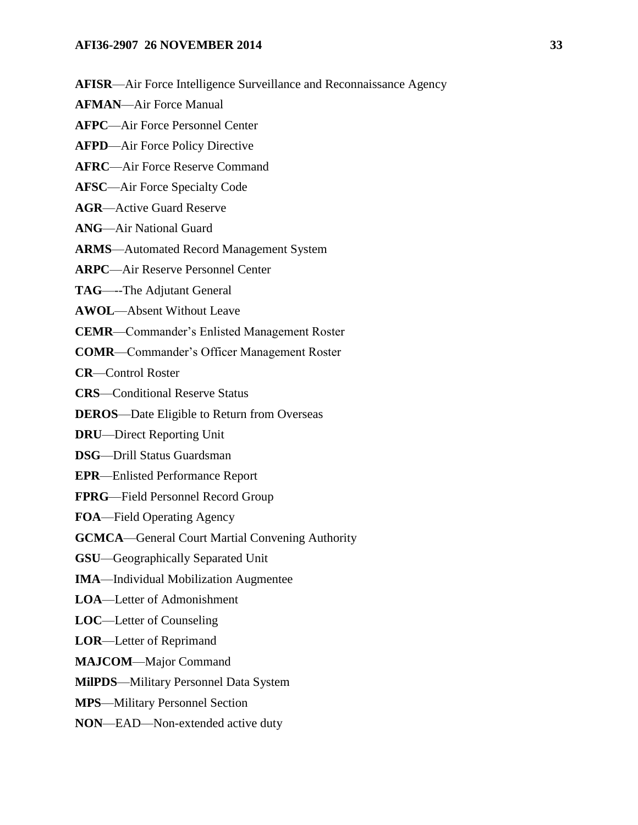- **AFISR**—Air Force Intelligence Surveillance and Reconnaissance Agency
- **AFMAN**—Air Force Manual
- **AFPC**—Air Force Personnel Center
- **AFPD**—Air Force Policy Directive
- **AFRC**—Air Force Reserve Command
- **AFSC**—Air Force Specialty Code
- **AGR**—Active Guard Reserve
- **ANG**—Air National Guard
- **ARMS**—Automated Record Management System
- **ARPC**—Air Reserve Personnel Center
- **TAG**—--The Adjutant General
- **AWOL**—Absent Without Leave
- **CEMR**—Commander's Enlisted Management Roster
- **COMR**—Commander's Officer Management Roster
- **CR**—Control Roster
- **CRS**—Conditional Reserve Status
- **DEROS**—Date Eligible to Return from Overseas
- **DRU**—Direct Reporting Unit
- **DSG**—Drill Status Guardsman
- **EPR**—Enlisted Performance Report
- **FPRG**—Field Personnel Record Group
- **FOA**—Field Operating Agency
- **GCMCA**—General Court Martial Convening Authority
- **GSU**—Geographically Separated Unit
- **IMA**—Individual Mobilization Augmentee
- **LOA**—Letter of Admonishment
- **LOC**—Letter of Counseling
- **LOR**—Letter of Reprimand
- **MAJCOM**—Major Command
- **MilPDS**—Military Personnel Data System
- **MPS**—Military Personnel Section
- **NON**—EAD—Non-extended active duty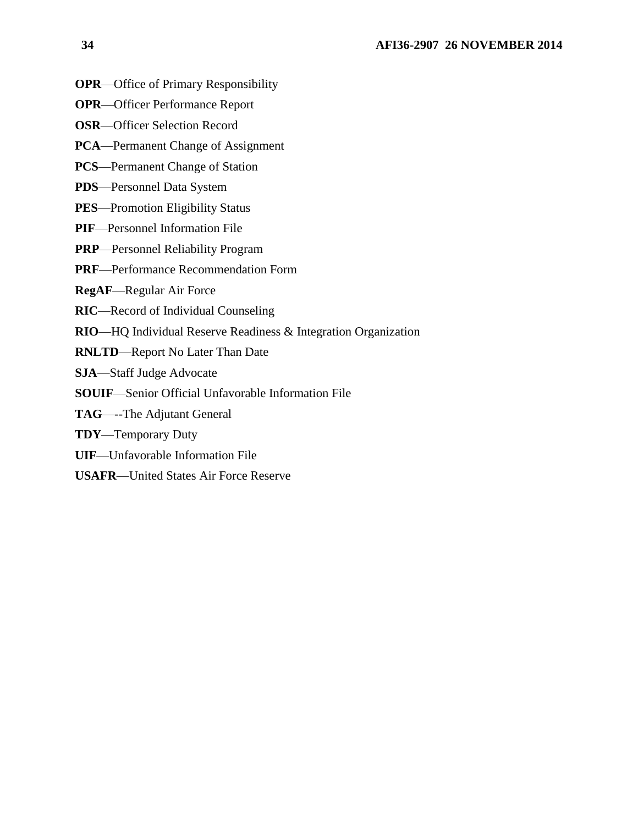- **OPR**—Office of Primary Responsibility
- **OPR**—Officer Performance Report
- **OSR**—Officer Selection Record
- **PCA**—Permanent Change of Assignment
- **PCS**—Permanent Change of Station
- **PDS**—Personnel Data System
- **PES**—Promotion Eligibility Status
- **PIF**—Personnel Information File
- **PRP**—Personnel Reliability Program
- **PRF**—Performance Recommendation Form
- **RegAF**—Regular Air Force
- **RIC**—Record of Individual Counseling
- **RIO**—HQ Individual Reserve Readiness & Integration Organization
- **RNLTD**—Report No Later Than Date
- **SJA**—Staff Judge Advocate
- **SOUIF**—Senior Official Unfavorable Information File
- **TAG**—--The Adjutant General
- **TDY**—Temporary Duty
- **UIF**—Unfavorable Information File
- **USAFR**—United States Air Force Reserve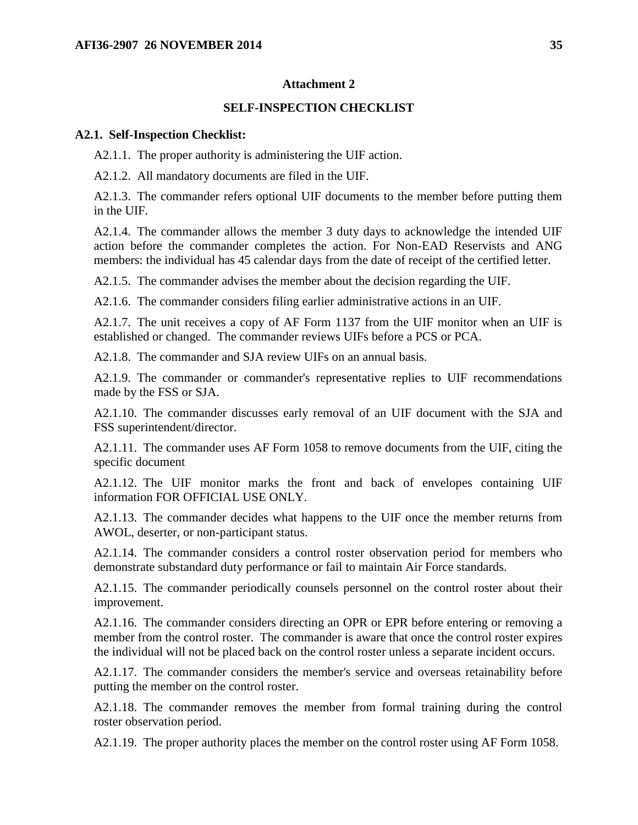### **Attachment 2**

### **SELF-INSPECTION CHECKLIST**

#### <span id="page-34-0"></span>**A2.1. Self-Inspection Checklist:**

A2.1.1. The proper authority is administering the UIF action.

A2.1.2. All mandatory documents are filed in the UIF.

A2.1.3. The commander refers optional UIF documents to the member before putting them in the UIF.

A2.1.4. The commander allows the member 3 duty days to acknowledge the intended UIF action before the commander completes the action. For Non-EAD Reservists and ANG members: the individual has 45 calendar days from the date of receipt of the certified letter.

A2.1.5. The commander advises the member about the decision regarding the UIF.

A2.1.6. The commander considers filing earlier administrative actions in an UIF.

A2.1.7. The unit receives a copy of AF Form 1137 from the UIF monitor when an UIF is established or changed. The commander reviews UIFs before a PCS or PCA.

A2.1.8. The commander and SJA review UIFs on an annual basis.

A2.1.9. The commander or commander's representative replies to UIF recommendations made by the FSS or SJA.

A2.1.10. The commander discusses early removal of an UIF document with the SJA and FSS superintendent/director.

A2.1.11. The commander uses AF Form 1058 to remove documents from the UIF, citing the specific document

A2.1.12. The UIF monitor marks the front and back of envelopes containing UIF information FOR OFFICIAL USE ONLY.

A2.1.13. The commander decides what happens to the UIF once the member returns from AWOL, deserter, or non-participant status.

A2.1.14. The commander considers a control roster observation period for members who demonstrate substandard duty performance or fail to maintain Air Force standards.

A2.1.15. The commander periodically counsels personnel on the control roster about their improvement.

A2.1.16. The commander considers directing an OPR or EPR before entering or removing a member from the control roster. The commander is aware that once the control roster expires the individual will not be placed back on the control roster unless a separate incident occurs.

A2.1.17. The commander considers the member's service and overseas retainability before putting the member on the control roster.

A2.1.18. The commander removes the member from formal training during the control roster observation period.

A2.1.19. The proper authority places the member on the control roster using AF Form 1058.